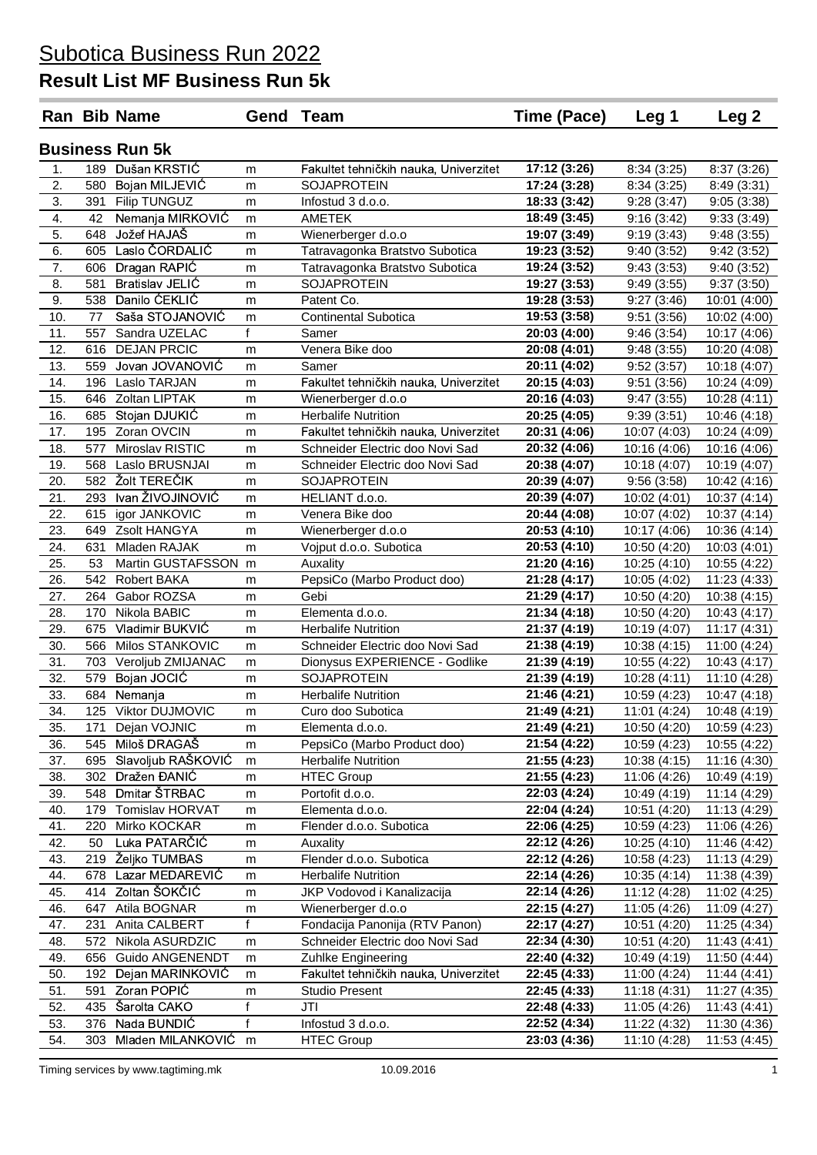|     |     | <b>Ran Bib Name</b>    |              | <b>Gend Team</b>                      | Time (Pace)  | Leg 1        | Leg <sub>2</sub> |
|-----|-----|------------------------|--------------|---------------------------------------|--------------|--------------|------------------|
|     |     | <b>Business Run 5k</b> |              |                                       |              |              |                  |
| 1.  |     | 189 Dušan KRSTIĆ       | m            | Fakultet tehničkih nauka, Univerzitet | 17:12 (3:26) | 8:34(3:25)   | 8:37 (3:26)      |
| 2.  |     | 580 Bojan MILJEVIĆ     | m            | <b>SOJAPROTEIN</b>                    | 17:24 (3:28) | 8:34(3:25)   | 8:49(3:31)       |
| 3.  |     | 391 Filip TUNGUZ       | m            | Infostud 3 d.o.o.                     | 18:33 (3:42) | 9:28(3:47)   | 9:05(3:38)       |
| 4.  | 42  | Nemanja MIRKOVIĆ       | m            | <b>AMETEK</b>                         | 18:49 (3:45) | 9:16(3:42)   | 9:33(3:49)       |
| 5.  | 648 | Jožef HAJAŠ            | m            | Wienerberger d.o.o                    | 19:07 (3:49) | 9:19(3:43)   | 9:48(3:55)       |
| 6.  |     | 605 Laslo ČORDALIĆ     | m            | Tatravagonka Bratstvo Subotica        | 19:23 (3:52) | 9:40(3:52)   | 9:42(3:52)       |
| 7.  |     | 606 Dragan RAPIĆ       | m            | Tatravagonka Bratstvo Subotica        | 19:24 (3:52) | 9:43(3:53)   | 9:40(3:52)       |
| 8.  | 581 | <b>Bratislav JELIC</b> | m            | <b>SOJAPROTEIN</b>                    | 19:27 (3:53) | 9:49(3:55)   | 9:37(3:50)       |
| 9.  |     | 538 Danilo ĆEKLIĆ      | m            | Patent Co.                            | 19:28 (3:53) | 9:27(3:46)   | 10:01(4:00)      |
| 10. | 77  | Saša STOJANOVIĆ        | m            | <b>Continental Subotica</b>           | 19:53 (3:58) | 9:51(3:56)   | 10:02(4:00)      |
| 11. | 557 | Sandra UZELAC          | $\mathsf{f}$ | Samer                                 | 20:03 (4:00) | 9:46(3:54)   | 10:17 (4:06)     |
| 12. |     | 616 DEJAN PRCIC        | m            | Venera Bike doo                       | 20:08 (4:01) | 9:48(3:55)   | 10:20 (4:08)     |
| 13. | 559 | Jovan JOVANOVIC        | m            | Samer                                 | 20:11 (4:02) | 9:52(3:57)   | 10:18 (4:07)     |
| 14. |     | 196 Laslo TARJAN       | m            | Fakultet tehničkih nauka, Univerzitet | 20:15 (4:03) | 9:51(3:56)   | 10:24 (4:09)     |
| 15. |     | 646 Zoltan LIPTAK      | m            | Wienerberger d.o.o                    | 20:16 (4:03) | 9:47(3:55)   | 10:28 (4:11)     |
| 16. |     | 685 Stojan DJUKIC      | m            | <b>Herbalife Nutrition</b>            | 20:25 (4:05) | 9:39(3:51)   | 10:46 (4:18)     |
| 17. |     | 195 Zoran OVCIN        | m            | Fakultet tehničkih nauka, Univerzitet | 20:31 (4:06) | 10:07 (4:03) | 10:24 (4:09)     |
| 18. | 577 | Miroslav RISTIC        | m            | Schneider Electric doo Novi Sad       | 20:32 (4:06) | 10:16 (4:06) | 10:16 (4:06)     |
| 19. | 568 | Laslo BRUSNJAI         | m            | Schneider Electric doo Novi Sad       | 20:38 (4:07) | 10:18 (4:07) | 10:19 (4:07)     |
| 20. |     | 582 Žolt TEREČIK       | m            | <b>SOJAPROTEIN</b>                    | 20:39 (4:07) | 9:56(3:58)   | 10:42(4:16)      |
| 21. | 293 | Ivan ŽIVOJINOVIĆ       | m            | HELIANT d.o.o.                        | 20:39 (4:07) | 10:02 (4:01) | 10:37(4:14)      |
| 22. | 615 | igor JANKOVIC          | m            | Venera Bike doo                       | 20:44 (4:08) | 10:07 (4:02) | 10:37(4:14)      |
| 23. |     | 649 Zsolt HANGYA       | m            | Wienerberger d.o.o                    | 20:53 (4:10) | 10:17 (4:06) | 10:36(4:14)      |
| 24. | 631 | Mladen RAJAK           | m            | Vojput d.o.o. Subotica                | 20:53 (4:10) | 10:50 (4:20) | 10:03(4:01)      |
| 25. | 53  | Martin GUSTAFSSON      | m            | Auxality                              | 21:20 (4:16) | 10:25 (4:10) | 10:55 (4:22)     |
| 26. | 542 | <b>Robert BAKA</b>     | m            | PepsiCo (Marbo Product doo)           | 21:28 (4:17) | 10:05 (4:02) | 11:23 (4:33)     |
| 27. | 264 | Gabor ROZSA            | m            | Gebi                                  | 21:29 (4:17) | 10:50 (4:20) | 10:38(4:15)      |
| 28. | 170 | Nikola BABIC           | m            | Elementa d.o.o.                       | 21:34 (4:18) | 10:50 (4:20) | 10:43(4:17)      |
| 29. | 675 | Vladimir BUKVIĆ        | m            | <b>Herbalife Nutrition</b>            | 21:37 (4:19) | 10:19 (4:07) | 11:17(4:31)      |
| 30. | 566 | Milos STANKOVIC        | m            | Schneider Electric doo Novi Sad       | 21:38 (4:19) | 10:38 (4:15) | 11:00 (4:24)     |
| 31. |     | 703 Veroljub ZMIJANAC  | m            | Dionysus EXPERIENCE - Godlike         | 21:39 (4:19) | 10:55 (4:22) | 10:43(4:17)      |
| 32. | 579 | Bojan JOCIĆ            | m            | SOJAPROTEIN                           | 21:39 (4:19) | 10:28 (4:11) | 11:10 (4:28)     |
| 33. | 684 | Nemanja                | m            | <b>Herbalife Nutrition</b>            | 21:46 (4:21) | 10:59 (4:23) | 10:47(4:18)      |
| 34. |     | 125 Viktor DUJMOVIC    | m            | Curo doo Subotica                     | 21:49 (4:21) | 11:01 (4:24) | 10:48 (4:19)     |
| 35. |     | 171 Dejan VOJNIC       | m            | Elementa d.o.o.                       | 21:49 (4:21) | 10:50 (4:20) | 10:59 (4:23)     |
| 36. |     | 545 Miloš DRAGAŠ       | m            | PepsiCo (Marbo Product doo)           | 21:54 (4:22) | 10:59 (4:23) | 10:55 (4:22)     |
| 37. | 695 | Slavoljub RAŠKOVIĆ     | m            | <b>Herbalife Nutrition</b>            | 21:55 (4:23) | 10:38 (4:15) | 11:16 (4:30)     |
| 38. | 302 | Dražen ĐANIĆ           | m            | <b>HTEC Group</b>                     | 21:55 (4:23) | 11:06 (4:26) | 10:49 (4:19)     |
| 39. | 548 | Dmitar ŠTRBAC          | m            | Portofit d.o.o.                       | 22:03 (4:24) | 10:49 (4:19) | 11:14 (4:29)     |
| 40. | 179 | Tomislav HORVAT        | m            | Elementa d.o.o.                       | 22:04 (4:24) | 10:51 (4:20) | 11:13 (4:29)     |
| 41. | 220 | Mirko KOCKAR           | m            | Flender d.o.o. Subotica               | 22:06 (4:25) | 10:59 (4:23) | 11:06 (4:26)     |
| 42. | 50  | Luka PATARČIĆ          | m            | Auxality                              | 22:12 (4:26) | 10:25 (4:10) | 11:46 (4:42)     |
| 43. |     | 219 Željko TUMBAS      | m            | Flender d.o.o. Subotica               | 22:12 (4:26) | 10:58 (4:23) | 11:13 (4:29)     |
| 44. |     | 678 Lazar MEDAREVIC    | m            | <b>Herbalife Nutrition</b>            | 22:14 (4:26) | 10:35 (4:14) | 11:38 (4:39)     |
| 45. |     | 414 Zoltan ŠOKČIĆ      | m            | JKP Vodovod i Kanalizacija            | 22:14 (4:26) | 11:12 (4:28) | 11:02 (4:25)     |
| 46. |     | 647 Atila BOGNAR       | m            | Wienerberger d.o.o                    | 22:15 (4:27) | 11:05 (4:26) | 11:09 (4:27)     |
| 47. | 231 | Anita CALBERT          | $\mathsf{f}$ | Fondacija Panonija (RTV Panon)        | 22:17 (4:27) | 10:51 (4:20) | 11:25 (4:34)     |
| 48. | 572 | Nikola ASURDZIC        | m            | Schneider Electric doo Novi Sad       | 22:34 (4:30) | 10:51 (4:20) | 11:43 (4:41)     |
| 49. | 656 | Guido ANGENENDT        | m            | Zuhlke Engineering                    | 22:40 (4:32) | 10:49 (4:19) | 11:50 (4:44)     |
| 50. | 192 | Dejan MARINKOVIC       | m            | Fakultet tehničkih nauka, Univerzitet | 22:45 (4:33) | 11:00 (4:24) | 11:44 (4:41)     |
| 51. | 591 | Zoran POPIĆ            | m            | <b>Studio Present</b>                 | 22:45 (4:33) | 11:18 (4:31) | 11:27 (4:35)     |
| 52. |     | 435 Šarolta CAKO       | f            | JTI                                   | 22:48 (4:33) | 11:05 (4:26) | 11:43 (4:41)     |
| 53. | 376 | Nada BUNDIĆ            | $\mathbf{f}$ | Infostud 3 d.o.o.                     | 22:52 (4:34) | 11:22 (4:32) | 11:30 (4:36)     |
| 54. | 303 | Mladen MILANKOVIĆ      | m            | <b>HTEC Group</b>                     | 23:03 (4:36) | 11:10 (4:28) | 11:53 (4:45)     |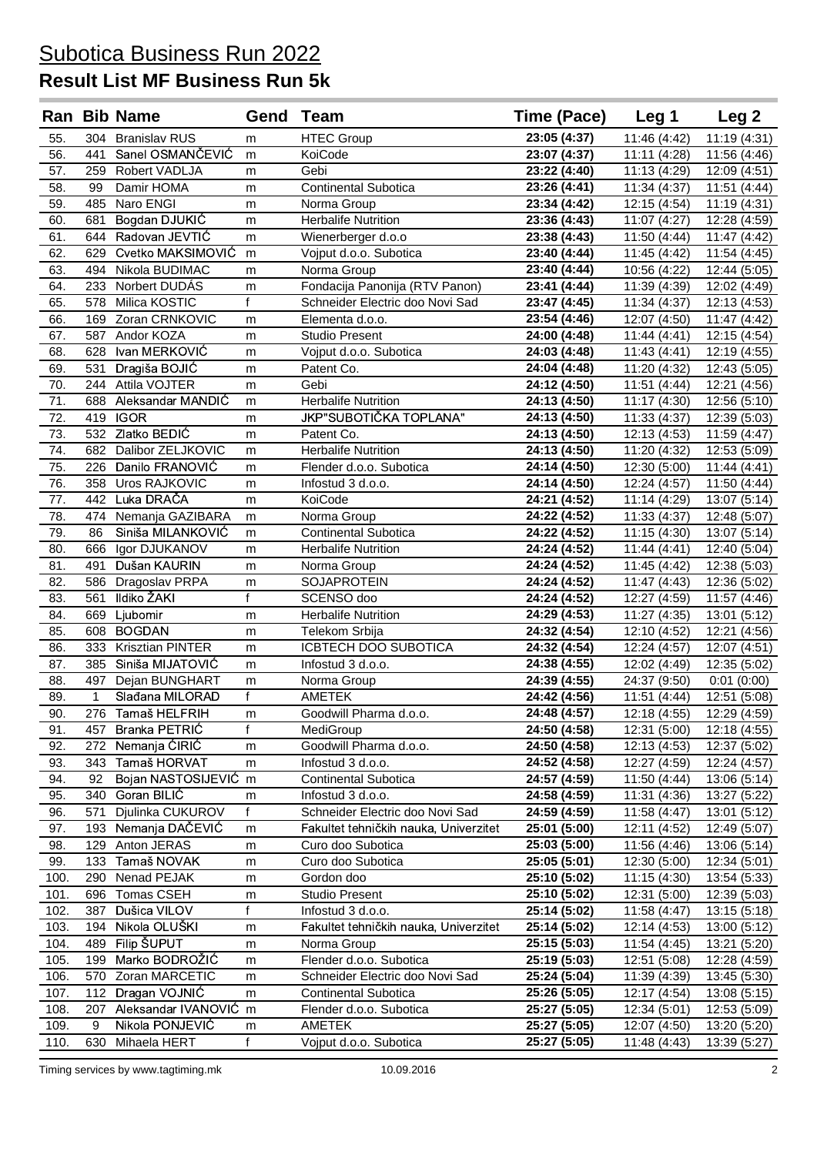### **Result List MF Business Run 5k**

|            |                     | <b>Ran Bib Name</b>                  | Gend              | Team                                  | Time (Pace)                  | Leg 1                        | Leg <sub>2</sub>             |
|------------|---------------------|--------------------------------------|-------------------|---------------------------------------|------------------------------|------------------------------|------------------------------|
| 55.        |                     | 304 Branislav RUS                    | m                 | <b>HTEC Group</b>                     | 23:05 (4:37)                 | 11:46 (4:42)                 | 11:19 (4:31)                 |
| 56.        | 441                 | Sanel OSMANČEVIĆ                     | m                 | KoiCode                               | 23:07 (4:37)                 | 11:11 (4:28)                 | 11:56 (4:46)                 |
| 57.        |                     | 259 Robert VADLJA                    | m                 | Gebi                                  | 23:22 (4:40)                 | 11:13 (4:29)                 | 12:09 (4:51)                 |
| 58.        | 99                  | Damir HOMA                           | m                 | <b>Continental Subotica</b>           | 23:26 (4:41)                 | 11:34 (4:37)                 | 11:51 (4:44)                 |
| 59.        | 485                 | Naro ENGI                            | m                 | Norma Group                           | 23:34 (4:42)                 | 12:15 (4:54)                 | 11:19 (4:31)                 |
| 60.        | 681                 | Bogdan DJUKIĆ                        | m                 | <b>Herbalife Nutrition</b>            | 23:36 (4:43)                 | 11:07 (4:27)                 | 12:28 (4:59)                 |
| 61.        |                     | 644 Radovan JEVTIĆ                   | m                 | Wienerberger d.o.o                    | 23:38 (4:43)                 | 11:50 (4:44)                 | 11:47 (4:42)                 |
| 62.        |                     | 629 Cvetko MAKSIMOVIĆ                | m                 | Vojput d.o.o. Subotica                | 23:40 (4:44)                 | 11:45 (4:42)                 | 11:54 (4:45)                 |
| 63.        | 494                 | Nikola BUDIMAC                       | m                 | Norma Group                           | 23:40 (4:44)                 | 10:56 (4:22)                 | 12:44 (5:05)                 |
| 64.        |                     | 233 Norbert DUDÁS                    | m                 | Fondacija Panonija (RTV Panon)        | 23:41 (4:44)                 | 11:39 (4:39)                 | 12:02 (4:49)                 |
| 65.        |                     | 578 Milica KOSTIC                    | f                 | Schneider Electric doo Novi Sad       | 23:47 (4:45)                 | 11:34 (4:37)                 | 12:13 (4:53)                 |
| 66.        |                     | 169 Zoran CRNKOVIC                   | m                 | Elementa d.o.o.                       | 23:54 (4:46)                 | 12:07 (4:50)                 | 11:47 (4:42)                 |
| 67.        |                     | 587 Andor KOZA                       | m                 | <b>Studio Present</b>                 | 24:00 (4:48)                 | 11:44 (4:41)                 | 12:15 (4:54)                 |
| 68.        |                     | 628 Ivan MERKOVIĆ                    | m                 | Vojput d.o.o. Subotica                | 24:03 (4:48)                 | 11:43 (4:41)                 | 12:19 (4:55)                 |
| 69.        | 531                 | Dragiša BOJIĆ                        | m                 | Patent Co.                            | 24:04 (4:48)                 | 11:20 (4:32)                 | 12:43 (5:05)                 |
| 70.        |                     | 244 Attila VOJTER                    | m                 | Gebi                                  | 24:12 (4:50)                 | 11:51 (4:44)                 | 12:21 (4:56)                 |
| 71.        |                     | 688 Aleksandar MANDIC                | m                 | <b>Herbalife Nutrition</b>            | 24:13 (4:50)                 | 11:17 (4:30)                 | 12:56 (5:10)                 |
| 72.        |                     | 419 IGOR                             | m                 | <b>JKP"SUBOTIČKA TOPLANA"</b>         | 24:13 (4:50)                 | 11:33 (4:37)                 | 12:39 (5:03)                 |
| 73.        |                     | 532 Zlatko BEDIĆ                     | m                 | Patent Co.                            | 24:13 (4:50)                 | 12:13 (4:53)                 | 11:59 (4:47)                 |
| 74.        |                     | 682 Dalibor ZELJKOVIC                | m                 | <b>Herbalife Nutrition</b>            | 24:13 (4:50)                 | 11:20 (4:32)                 | 12:53 (5:09)                 |
| 75.        |                     | 226 Danilo FRANOVIĆ                  | m                 | Flender d.o.o. Subotica               | 24:14 (4:50)                 | 12:30 (5:00)                 | 11:44 (4:41)                 |
| 76.        |                     | 358 Uros RAJKOVIC                    | m                 | Infostud 3 d.o.o.                     | 24:14 (4:50)                 | 12:24 (4:57)                 | 11:50 (4:44)                 |
| 77.        |                     | 442 Luka DRAČA                       | m                 | KoiCode                               | 24:21 (4:52)                 | 11:14 (4:29)                 | 13:07 (5:14)                 |
| 78.        | 474                 | Nemanja GAZIBARA                     | m                 | Norma Group                           | 24:22 (4:52)                 | 11:33 (4:37)                 | 12:48 (5:07)                 |
| 79.        | 86                  | Siniša MILANKOVIĆ                    | m                 | <b>Continental Subotica</b>           | 24:22 (4:52)                 | 11:15 (4:30)                 | 13:07 (5:14)                 |
| 80.        | 666                 | Igor DJUKANOV                        | m                 | <b>Herbalife Nutrition</b>            | 24:24 (4:52)                 | 11:44 (4:41)                 | 12:40 (5:04)                 |
| 81.        | 491                 | Dušan KAURIN                         | m                 | Norma Group                           | 24:24 (4:52)                 | 11:45 (4:42)                 | 12:38 (5:03)                 |
| 82.        | 586                 | Dragoslav PRPA                       | m                 | <b>SOJAPROTEIN</b>                    | 24:24 (4:52)                 | 11:47 (4:43)                 | 12:36 (5:02)                 |
| 83.        | 561                 | Ildiko ŽAKI                          | $\overline{f}$    | SCENSO doo                            | 24:24 (4:52)                 | 12:27 (4:59)                 | 11:57 (4:46)                 |
| 84.        | 669                 | Ljubomir                             | m                 | <b>Herbalife Nutrition</b>            | 24:29 (4:53)                 | 11:27 (4:35)                 | 13:01 (5:12)                 |
| 85.        | 608                 | <b>BOGDAN</b>                        | m                 | Telekom Srbija                        | 24:32 (4:54)                 | 12:10 (4:52)                 | 12:21 (4:56)                 |
| 86.        | 333                 | Krisztian PINTER                     | m                 | ICBTECH DOO SUBOTICA                  | 24:32 (4:54)                 | 12:24 (4:57)                 | 12:07 (4:51)                 |
| 87.        | 385                 | Siniša MIJATOVIĆ                     | m                 | Infostud 3 d.o.o.                     | 24:38 (4:55)                 | 12:02 (4:49)                 | 12:35 (5:02)                 |
| 88.        | 497<br>$\mathbf{1}$ | Dejan BUNGHART                       | m<br>f            | Norma Group<br><b>AMETEK</b>          | 24:39 (4:55)                 | 24:37 (9:50)                 | 0:01(0:00)                   |
| 89.<br>90. |                     | Slađana MILORAD<br>276 Tamaš HELFRIH |                   |                                       | 24:42 (4:56)                 | 11:51 (4:44)                 | 12:51 (5:08)                 |
|            |                     | 457 Branka PETRIC                    | m<br>$\mathsf{f}$ | Goodwill Pharma d.o.o.                | 24:48 (4:57)<br>24:50 (4:58) | 12:18 (4:55)                 | 12:29 (4:59)                 |
| 91.<br>92. | 272                 | Nemanja ĆIRIĆ                        |                   | MediGroup<br>Goodwill Pharma d.o.o.   | 24:50 (4:58)                 | 12:31 (5:00)                 | 12:18 (4:55)                 |
| 93.        | 343                 | Tamaš HORVAT                         | m                 | Infostud 3 d.o.o.                     | 24:52 (4:58)                 | 12:13 (4:53)<br>12:27 (4:59) | 12:37 (5:02)<br>12:24 (4:57) |
| 94.        | 92                  | Bojan NASTOSIJEVIĆ m                 | m                 | Continental Subotica                  | 24:57 (4:59)                 | 11:50 (4:44)                 | 13:06 (5:14)                 |
| 95.        | 340                 | Goran BILIC                          | m                 | Infostud 3 d.o.o.                     | 24:58 (4:59)                 | 11:31 (4:36)                 | 13:27 (5:22)                 |
| 96.        | 571                 | Djulinka CUKUROV                     | f                 | Schneider Electric doo Novi Sad       | 24:59 (4:59)                 | 11:58 (4:47)                 | 13:01 (5:12)                 |
| 97.        | 193                 | Nemanja DAČEVIĆ                      | m                 | Fakultet tehničkih nauka, Univerzitet | 25:01 (5:00)                 | 12:11 (4:52)                 | 12:49 (5:07)                 |
| 98.        | 129                 | Anton JERAS                          | m                 | Curo doo Subotica                     | 25:03 (5:00)                 | 11:56 (4:46)                 | 13:06 (5:14)                 |
| 99.        | 133                 | Tamaš NOVAK                          | m                 | Curo doo Subotica                     | 25:05 (5:01)                 | 12:30 (5:00)                 | 12:34 (5:01)                 |
| 100.       | 290                 | Nenad PEJAK                          | m                 | Gordon doo                            | 25:10 (5:02)                 | 11:15 (4:30)                 | 13:54 (5:33)                 |
| 101.       | 696                 | Tomas CSEH                           | m                 | Studio Present                        | 25:10 (5:02)                 | 12:31 (5:00)                 | 12:39 (5:03)                 |
| 102.       | 387                 | Dušica VILOV                         | f                 | Infostud 3 d.o.o.                     | 25:14 (5:02)                 | 11:58 (4:47)                 | 13:15 (5:18)                 |
| 103.       | 194                 | Nikola OLUŠKI                        | m                 | Fakultet tehničkih nauka, Univerzitet | 25:14 (5:02)                 | 12:14 (4:53)                 | 13:00 (5:12)                 |
| 104.       | 489                 | Filip ŠUPUT                          | m                 | Norma Group                           | 25:15 (5:03)                 | 11:54 (4:45)                 | 13:21 (5:20)                 |
| 105.       | 199                 | Marko BODROŽIĆ                       | m                 | Flender d.o.o. Subotica               | 25:19 (5:03)                 | 12:51 (5:08)                 | 12:28 (4:59)                 |
| 106.       | 570                 | Zoran MARCETIC                       | m                 | Schneider Electric doo Novi Sad       | 25:24 (5:04)                 | 11:39 (4:39)                 | 13:45 (5:30)                 |
| 107.       | 112                 | Dragan VOJNIĆ                        | m                 | Continental Subotica                  | 25:26 (5:05)                 | 12:17 (4:54)                 | 13:08 (5:15)                 |
| 108.       | 207                 | Aleksandar IVANOVIĆ m                |                   | Flender d.o.o. Subotica               | 25:27 (5:05)                 | 12:34 (5:01)                 | 12:53 (5:09)                 |
| 109.       | 9                   | Nikola PONJEVIĆ                      | m                 | <b>AMETEK</b>                         | 25:27 (5:05)                 | 12:07 (4:50)                 | 13:20 (5:20)                 |
| 110.       | 630                 | Mihaela HERT                         | $\mathsf{f}$      | Vojput d.o.o. Subotica                | 25:27 (5:05)                 | 11:48 (4:43)                 | 13:39 (5:27)                 |
|            |                     |                                      |                   |                                       |                              |                              |                              |

Timing services by www.tagtiming.mk 10.09.2016 10.09.2016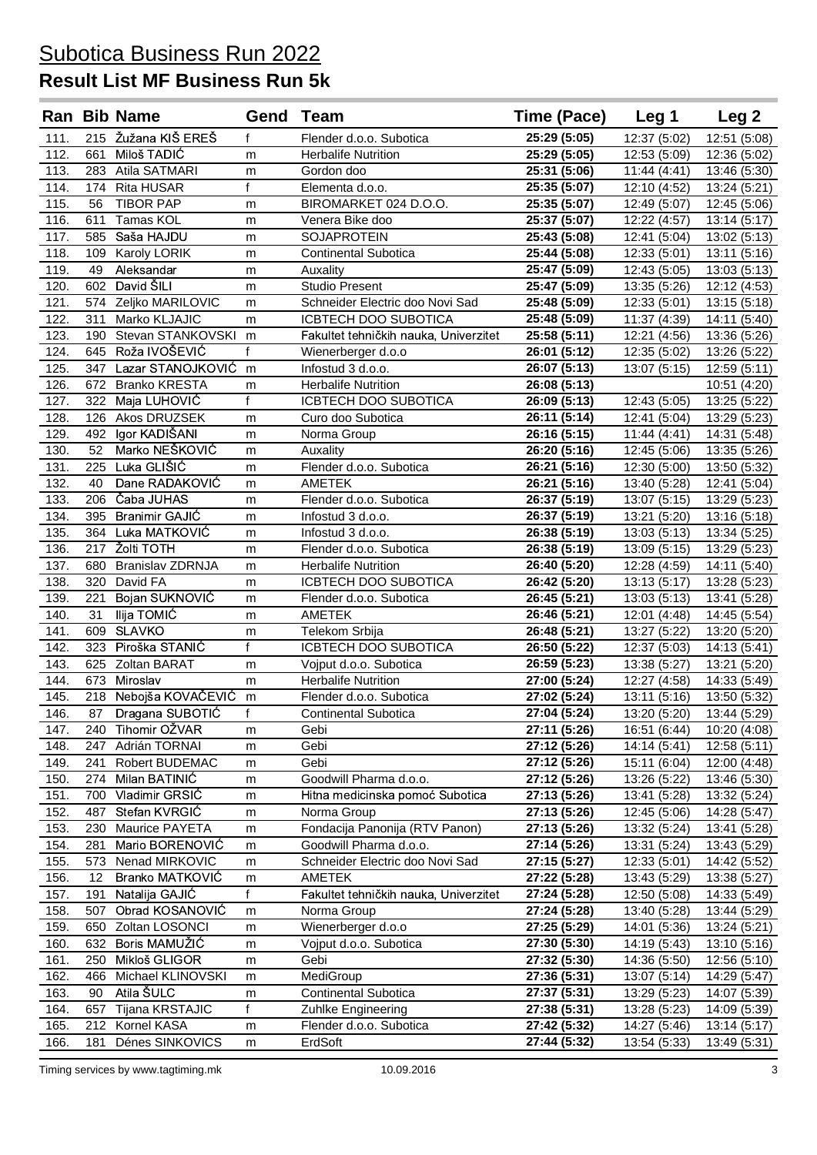|              |           | <b>Ran Bib Name</b>               | Gend Team         |                                                  | Time (Pace)                  | Leg <sub>1</sub>             | Leg 2                        |
|--------------|-----------|-----------------------------------|-------------------|--------------------------------------------------|------------------------------|------------------------------|------------------------------|
| 111.         |           | 215 Žužana KIŠ EREŠ               | f                 | Flender d.o.o. Subotica                          | 25:29 (5:05)                 | 12:37 (5:02)                 | 12:51 (5:08)                 |
| 112.         | 661       | Miloš TADIĆ                       | m                 | <b>Herbalife Nutrition</b>                       | 25:29 (5:05)                 | 12:53 (5:09)                 | 12:36(5:02)                  |
| 113.         |           | 283 Atila SATMARI                 | m                 | Gordon doo                                       | 25:31 (5:06)                 | 11:44(4:41)                  | 13:46 (5:30)                 |
| 114.         | 174       | <b>Rita HUSAR</b>                 | f                 | Elementa d.o.o.                                  | 25:35 (5:07)                 | 12:10 (4:52)                 | 13:24 (5:21)                 |
| 115.         | 56        | <b>TIBOR PAP</b>                  | m                 | BIROMARKET 024 D.O.O.                            | 25:35 (5:07)                 | 12:49 (5:07)                 | 12:45 (5:06)                 |
| 116.         | 611       | Tamas KOL                         | m                 | Venera Bike doo                                  | 25:37 (5:07)                 | 12:22 (4:57)                 | 13:14 (5:17)                 |
| 117.         | 585       | Saša HAJDU                        | m                 | <b>SOJAPROTEIN</b>                               | 25:43 (5:08)                 | 12:41 (5:04)                 | 13:02 (5:13)                 |
| 118.         | 109       | Karoly LORIK                      | m                 | <b>Continental Subotica</b>                      | 25:44 (5:08)                 | 12:33 (5:01)                 | 13:11 (5:16)                 |
| 119.         | 49        | Aleksandar                        | m                 | Auxality                                         | 25:47 (5:09)                 | 12:43 (5:05)                 | 13:03 (5:13)                 |
| 120.         | 602       | David ŠILI                        | m                 | <b>Studio Present</b>                            | 25:47 (5:09)                 | 13:35 (5:26)                 | 12:12 (4:53)                 |
| 121.         |           | 574 Zeljko MARILOVIC              | m                 | Schneider Electric doo Novi Sad                  | 25:48 (5:09)                 | 12:33 (5:01)                 | 13:15 (5:18)                 |
| 122.         | 311       | Marko KLJAJIC                     | m                 | ICBTECH DOO SUBOTICA                             | 25:48 (5:09)                 | 11:37 (4:39)                 | 14:11 (5:40)                 |
| 123.         | 190       | Stevan STANKOVSKI                 | m                 | Fakultet tehničkih nauka, Univerzitet            | 25:58 (5:11)                 | 12:21 (4:56)                 | 13:36 (5:26)                 |
| 124.         |           | 645 Roža IVOŠEVIĆ                 | $\mathsf{f}$      | Wienerberger d.o.o                               | 26:01 (5:12)                 | 12:35 (5:02)                 | 13:26 (5:22)                 |
| 125.         | 347       | Lazar STANOJKOVIĆ                 | m                 | Infostud 3 d.o.o.                                | 26:07 (5:13)                 | 13:07 (5:15)                 | 12:59 (5:11)                 |
| 126.         | 672       | <b>Branko KRESTA</b>              | m                 | <b>Herbalife Nutrition</b>                       | 26:08 (5:13)                 |                              | 10:51 (4:20)                 |
| 127.         | 322       | Maja LUHOVIĆ                      | $\mathbf{f}$      | ICBTECH DOO SUBOTICA                             | 26:09 (5:13)                 | 12:43 (5:05)                 | 13:25 (5:22)                 |
| 128.         |           | 126 Akos DRUZSEK                  | m                 | Curo doo Subotica                                | 26:11 (5:14)                 | 12:41 (5:04)                 | 13:29 (5:23)                 |
| 129.         | 492       | Igor KADIŠANI                     | m                 | Norma Group                                      | 26:16 (5:15)                 | 11:44 (4:41)                 | 14:31 (5:48)                 |
| 130.         | 52        | Marko NEŠKOVIĆ                    | m                 | Auxality                                         | 26:20 (5:16)                 | 12:45 (5:06)                 | 13:35 (5:26)                 |
| 131.         | 225       | Luka GLIŠIĆ                       | m                 | Flender d.o.o. Subotica                          | 26:21 (5:16)                 | 12:30 (5:00)                 | 13:50 (5:32)                 |
| 132.         | 40        | Dane RADAKOVIĆ                    | m                 | AMETEK                                           | 26:21 (5:16)                 | 13:40 (5:28)                 | 12:41 (5:04)                 |
| 133.         | 206       | Čaba JUHAS                        | m                 | Flender d.o.o. Subotica                          | 26:37 (5:19)                 | 13:07 (5:15)                 | 13:29 (5:23)                 |
| 134.         |           | 395 Branimir GAJIĆ                | m                 | Infostud 3 d.o.o.                                | 26:37 (5:19)                 | 13:21 (5:20)                 | 13:16 (5:18)                 |
| 135.         | 364       | Luka MATKOVIĆ                     | m                 | Infostud 3 d.o.o.                                | 26:38 (5:19)                 | 13:03(5:13)                  | 13:34 (5:25)                 |
| 136.         | 217       | Žolti TOTH                        | m                 | Flender d.o.o. Subotica                          | 26:38 (5:19)                 | 13:09 (5:15)                 | 13:29 (5:23)                 |
| 137.         | 680       | <b>Branislav ZDRNJA</b>           | m                 | <b>Herbalife Nutrition</b>                       | 26:40 (5:20)                 | 12:28 (4:59)                 | 14:11 (5:40)                 |
| 138.         | 320       | David FA                          | m                 | <b>ICBTECH DOO SUBOTICA</b>                      | 26:42 (5:20)                 | 13:13 (5:17)                 | 13:28 (5:23)                 |
| 139.         | 221       | Bojan SUKNOVIĆ                    | m                 | Flender d.o.o. Subotica                          | 26:45 (5:21)                 | 13:03(5:13)                  | 13:41 (5:28)                 |
| 140.         | 31        | Ilija TOMIĆ                       | m                 | AMETEK                                           | 26:46 (5:21)                 | 12:01 (4:48)                 | 14:45 (5:54)                 |
| 141.         | 609       | <b>SLAVKO</b>                     | m                 | Telekom Srbija                                   | 26:48 (5:21)                 | 13:27 (5:22)                 | 13:20 (5:20)                 |
| 142.         | 323       | Piroška STANIĆ                    | f                 | ICBTECH DOO SUBOTICA                             | 26:50 (5:22)                 | 12:37 (5:03)                 | 14:13 (5:41)                 |
| 143.         |           | 625 Zoltan BARAT                  | m                 | Vojput d.o.o. Subotica                           | 26:59 (5:23)                 | 13:38 (5:27)                 | 13:21 (5:20)                 |
| 144.         | 673       | Miroslav                          | m                 | <b>Herbalife Nutrition</b>                       | 27:00 (5:24)                 | 12:27 (4:58)                 | 14:33 (5:49)                 |
| 145.         |           | 218 Nebojša KOVAČEVIĆ             | m                 | Flender d.o.o. Subotica                          | 27:02 (5:24)                 | 13:11 (5:16)                 | 13:50 (5:32)                 |
| 146.         | 87        | Dragana SUBOTIĆ                   | $\mathsf{f}$      | Continental Subotica                             | 27:04 (5:24)                 | 13:20 (5:20)                 | 13:44 (5:29)                 |
| 147.         |           | 240 Tihomir OŽVAR                 | m                 | Gebi                                             | 27:11 (5:26)                 | 16:51 (6:44)                 | 10:20 (4:08)                 |
| 148.         | 247       | Adrián TORNAI                     | m                 | Gebi                                             | 27:12 (5:26)                 | 14:14 (5:41)                 | 12:58 (5:11)                 |
| 149.         | 241       | Robert BUDEMAC                    | m                 | Gebi                                             | 27:12 (5:26)                 | 15:11 (6:04)                 | 12:00 (4:48)                 |
| 150.         | 274       | Milan BATINIĆ                     | m                 | Goodwill Pharma d.o.o.                           | 27:12 (5:26)                 | 13:26 (5:22)                 | 13:46 (5:30)                 |
| 151.         | 700       | Vladimir GRSIĆ                    | m                 | Hitna medicinska pomoć Subotica                  | 27:13 (5:26)                 | 13:41 (5:28)                 | 13:32 (5:24)                 |
| 152.         | 487       | Stefan KVRGIĆ                     | m                 | Norma Group                                      | 27:13 (5:26)                 | 12:45 (5:06)                 | 14:28 (5:47)                 |
| 153.         | 230       | Maurice PAYETA                    | m                 | Fondacija Panonija (RTV Panon)                   | 27:13 (5:26)                 | 13:32 (5:24)                 | 13:41 (5:28)                 |
| 154.         | 281       | Mario BORENOVIĆ                   | m                 | Goodwill Pharma d.o.o.                           | 27:14 (5:26)                 | 13:31 (5:24)                 | 13:43 (5:29)                 |
| 155.         | 573       | Nenad MIRKOVIC<br>Branko MATKOVIĆ | m                 | Schneider Electric doo Novi Sad<br><b>AMETEK</b> | 27:15 (5:27)<br>27:22 (5:28) | 12:33 (5:01)                 | 14:42 (5:52)                 |
| 156.<br>157. | 12<br>191 | Natalija GAJIĆ                    | m<br>$\mathsf{f}$ | Fakultet tehničkih nauka, Univerzitet            | 27:24 (5:28)                 | 13:43 (5:29)<br>12:50 (5:08) | 13:38 (5:27)<br>14:33 (5:49) |
| 158.         | 507       | Obrad KOSANOVIĆ                   | m                 | Norma Group                                      | 27:24 (5:28)                 | 13:40 (5:28)                 | 13:44 (5:29)                 |
| 159.         | 650       | Zoltan LOSONCI                    | m                 | Wienerberger d.o.o                               | 27:25 (5:29)                 | 14:01 (5:36)                 | 13:24 (5:21)                 |
| 160.         | 632       | Boris MAMUŽIĆ                     | m                 | Vojput d.o.o. Subotica                           | 27:30 (5:30)                 | 14:19 (5:43)                 | 13:10 (5:16)                 |
| 161.         | 250       | Mikloš GLIGOR                     | m                 | Gebi                                             | 27:32 (5:30)                 | 14:36 (5:50)                 | 12:56 (5:10)                 |
| 162.         | 466       | Michael KLINOVSKI                 | m                 | MediGroup                                        | 27:36 (5:31)                 | 13:07 (5:14)                 | 14:29 (5:47)                 |
| 163.         | 90        | Atila ŠULC                        | m                 | <b>Continental Subotica</b>                      | 27:37 (5:31)                 | 13:29 (5:23)                 | 14:07 (5:39)                 |
| 164.         | 657       | Tijana KRSTAJIC                   | $\mathsf{f}$      | Zuhlke Engineering                               | 27:38 (5:31)                 | 13:28 (5:23)                 | 14:09 (5:39)                 |
| 165.         | 212       | Kornel KASA                       | m                 | Flender d.o.o. Subotica                          | 27:42 (5:32)                 | 14:27 (5:46)                 | 13:14 (5:17)                 |
| 166.         | 181       | Dénes SINKOVICS                   | m                 | ErdSoft                                          | 27:44 (5:32)                 | 13:54 (5:33)                 | 13:49 (5:31)                 |
|              |           |                                   |                   |                                                  |                              |                              |                              |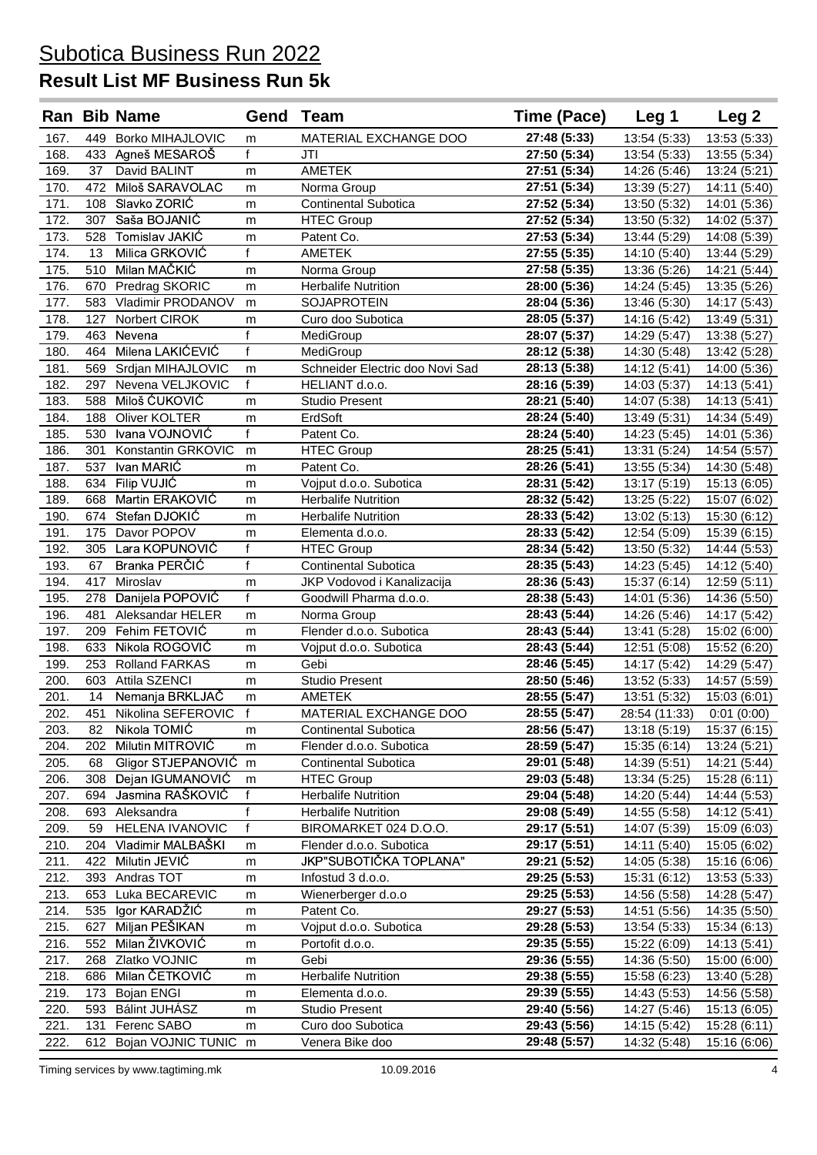### **Result List MF Business Run 5k**

|              |            | <b>Ran Bib Name</b>         | Gend           | Team                                     | Time (Pace)                  | Leg 1                        | Leg <sub>2</sub>             |
|--------------|------------|-----------------------------|----------------|------------------------------------------|------------------------------|------------------------------|------------------------------|
| 167.         |            | 449 Borko MIHAJLOVIC        | m              | MATERIAL EXCHANGE DOO                    | 27:48 (5:33)                 | 13:54 (5:33)                 | 13:53 (5:33)                 |
| 168.         |            | 433 Agneš MESAROŠ           | f              | JTI                                      | 27:50 (5:34)                 | 13:54 (5:33)                 | 13:55 (5:34)                 |
| 169.         | 37         | David BALINT                | m              | <b>AMETEK</b>                            | 27:51 (5:34)                 | 14:26 (5:46)                 | 13:24 (5:21)                 |
| 170.         |            | 472 Miloš SARAVOLAC         | m              | Norma Group                              | 27:51 (5:34)                 | 13:39 (5:27)                 | 14:11 (5:40)                 |
| 171.         |            | 108 Slavko ZORIĆ            | m              | <b>Continental Subotica</b>              | 27:52 (5:34)                 | 13:50 (5:32)                 | 14:01 (5:36)                 |
| 172.         |            | 307 Saša BOJANIĆ            | m              | <b>HTEC Group</b>                        | 27:52 (5:34)                 | 13:50 (5:32)                 | 14:02 (5:37)                 |
| 173.         |            | 528 Tomislav JAKIĆ          | m              | Patent Co.                               | 27:53 (5:34)                 | 13:44 (5:29)                 | 14:08 (5:39)                 |
| 174.         | 13         | Milica GRKOVIĆ              | $\overline{f}$ | <b>AMETEK</b>                            | 27:55 (5:35)                 | 14:10 (5:40)                 | 13:44 (5:29)                 |
| 175.         |            | 510 Milan MAČKIĆ            | m              | Norma Group                              | 27:58 (5:35)                 | 13:36 (5:26)                 | 14:21 (5:44)                 |
| 176.         |            | 670 Predrag SKORIC          | m              | <b>Herbalife Nutrition</b>               | 28:00 (5:36)                 | 14:24 (5:45)                 | 13:35 (5:26)                 |
| 177.         |            | 583 Vladimir PRODANOV       | m              | SOJAPROTEIN                              | 28:04 (5:36)                 | 13:46 (5:30)                 | 14:17 (5:43)                 |
| 178.         | 127        | Norbert CIROK               | m              | Curo doo Subotica                        | 28:05 (5:37)                 | 14:16 (5:42)                 | 13:49 (5:31)                 |
| 179.         | 463        | Nevena                      | f              | MediGroup                                | 28:07 (5:37)                 | 14:29 (5:47)                 | 13:38 (5:27)                 |
| 180          | 464        | Milena LAKIĆEVIĆ            | $\mathbf{f}$   | MediGroup                                | 28:12 (5:38)                 | 14:30 (5:48)                 | 13:42 (5:28)                 |
| 181.         |            | 569 Srdjan MIHAJLOVIC       | m              | Schneider Electric doo Novi Sad          | 28:13 (5:38)                 | 14:12 (5:41)                 | 14:00 (5:36)                 |
| 182.         | 297        | Nevena VELJKOVIC            | $\mathsf{f}$   | HELIANT d.o.o.                           | 28:16 (5:39)                 | 14:03 (5:37)                 | 14:13 (5:41)                 |
| 183.         | 588        | Miloš ĆUKOVIĆ               | m              | <b>Studio Present</b>                    | 28:21 (5:40)                 | 14:07 (5:38)                 | 14:13 (5:41)                 |
| 184.         | 188        | Oliver KOLTER               | m              | ErdSoft                                  | 28:24 (5:40)                 | 13:49 (5:31)                 | 14:34 (5:49)                 |
| 185.         |            | 530 Ivana VOJNOVIĆ          | f              | Patent Co.                               | 28:24 (5:40)                 | 14:23 (5:45)                 | 14:01 (5:36)                 |
| 186.         | 301        | Konstantin GRKOVIC          | m              | <b>HTEC Group</b>                        | 28:25 (5:41)                 | 13:31 (5:24)                 | 14:54 (5:57)                 |
| 187.         | 537        | Ivan MARIĆ                  | m              | Patent Co.                               | 28:26 (5:41)                 | 13:55 (5:34)                 | 14:30 (5:48)                 |
| 188.         |            | 634 Filip VUJIĆ             | m              | Vojput d.o.o. Subotica                   | 28:31 (5:42)                 | 13:17 (5:19)                 | 15:13 (6:05)                 |
| 189.         | 668        | Martin ERAKOVIĆ             | m              | <b>Herbalife Nutrition</b>               | 28:32 (5:42)                 | 13:25 (5:22)                 | 15:07 (6:02)                 |
| 190.         | 674        | Stefan DJOKIĆ               | m              | <b>Herbalife Nutrition</b>               | 28:33 (5:42)                 | 13:02 (5:13)                 | 15:30 (6:12)                 |
| 191.         | 175        | Davor POPOV                 | m              | Elementa d.o.o.                          | 28:33 (5:42)                 | 12:54 (5:09)                 | 15:39 (6:15)                 |
| 192.         |            | 305 Lara KOPUNOVIĆ          | $\overline{f}$ | <b>HTEC Group</b>                        | 28:34 (5:42)                 | 13:50 (5:32)                 | 14:44 (5:53)                 |
| 193.         | 67         | Branka PERČIĆ               | $\overline{f}$ | <b>Continental Subotica</b>              | 28:35 (5:43)                 | 14:23 (5:45)                 | 14:12 (5:40)                 |
| 194.         | 417        | Miroslav                    | m              | JKP Vodovod i Kanalizacija               | 28:36 (5:43)                 | 15:37 (6:14)                 | 12:59 (5:11)                 |
| 195.         | 278        | Danijela POPOVIĆ            | $\overline{f}$ | Goodwill Pharma d.o.o.                   | 28:38 (5:43)                 | 14:01 (5:36)                 | 14:36 (5:50)                 |
| 196.         | 481        | Aleksandar HELER            | m              | Norma Group                              | 28:43 (5:44)                 | 14:26 (5:46)                 | 14:17 (5:42)                 |
| 197.         |            | 209 Fehim FETOVIĆ           | m              | Flender d.o.o. Subotica                  | 28:43 (5:44)                 | 13:41 (5:28)                 | 15:02 (6:00)                 |
| 198.         | 633        | Nikola ROGOVIĆ              | m              | Vojput d.o.o. Subotica                   | 28:43 (5:44)                 | 12:51 (5:08)                 | 15:52 (6:20)                 |
| 199.         | 253        | <b>Rolland FARKAS</b>       | m              | Gebi                                     | 28:46 (5:45)                 | 14:17 (5:42)                 | 14:29 (5:47)                 |
| 200.         | 603        | Attila SZENCI               | m              | <b>Studio Present</b>                    | 28:50 (5:46)                 | 13:52 (5:33)                 | 14:57 (5:59)                 |
| 201.         | 14         | Nemanja BRKLJAČ             | m              | AMETEK                                   | 28:55 (5:47)                 | 13:51 (5:32)                 | 15:03 (6:01)                 |
| 202.         | 451        | Nikolina SEFEROVIC          | $\mathbf{f}$   | MATERIAL EXCHANGE DOO                    | 28:55 (5:47)                 | 28:54 (11:33)                | 0:01(0:00)                   |
| 203.         | 82         | Nikola TOMIĆ                | m              | <b>Continental Subotica</b>              | 28:56 (5:47)                 | 13:18 (5:19)                 | 15:37 (6:15)                 |
| 204.         | 202        | Milutin MITROVIĆ            | m              | Flender d.o.o. Subotica                  | 28:59 (5:47)                 | 15:35 (6:14)                 | 13:24 (5:21)                 |
| 205.         | 68         | Gligor STJEPANOVIĆ          | m              | Continental Subotica                     | 29:01 (5:48)                 | 14:39 (5:51)                 | 14:21 (5:44)                 |
| 206.         | 308        | Dejan IGUMANOVIĆ            | m              | <b>HTEC Group</b>                        | 29:03 (5:48)                 | 13:34 (5:25)                 | 15:28 (6:11)                 |
| 207.         | 694        | Jasmina RAŠKOVIĆ            | f              | <b>Herbalife Nutrition</b>               | 29:04 (5:48)                 | 14:20 (5:44)                 | 14:44 (5:53)                 |
| 208.         |            | 693 Aleksandra              | $\mathsf{f}$   | <b>Herbalife Nutrition</b>               | 29:08 (5:49)                 | 14:55 (5:58)                 | 14:12 (5:41)                 |
| 209.         | 59         | <b>HELENA IVANOVIC</b>      | f              | BIROMARKET 024 D.O.O.                    | 29:17 (5:51)                 | 14:07 (5:39)                 | 15:09 (6:03)                 |
| 210.         | 204        | Vladimir MALBAŠKI           | m              | Flender d.o.o. Subotica                  | 29:17 (5:51)                 | 14:11 (5:40)                 | 15:05 (6:02)                 |
| 211.         | 422        | Milutin JEVIĆ               | m              | JKP"SUBOTIČKA TOPLANA"                   | 29:21 (5:52)                 | 14:05 (5:38)                 | 15:16 (6:06)                 |
| 212.         | 393        | Andras TOT                  | m              | Infostud 3 d.o.o.                        | 29:25 (5:53)                 | 15:31 (6:12)                 | 13:53 (5:33)                 |
| 213.         | 653        | Luka BECAREVIC              | m              | Wienerberger d.o.o                       | 29:25 (5:53)                 | 14:56 (5:58)                 | 14:28 (5:47)                 |
| 214.         | 535        | Igor KARADŽIĆ               | m              | Patent Co.                               | 29:27 (5:53)                 | 14:51 (5:56)                 | 14:35 (5:50)                 |
| 215.         | 627        | Miljan PEŠIKAN              | m              | Vojput d.o.o. Subotica                   | 29:28 (5:53)                 | 13:54 (5:33)                 | 15:34 (6:13)                 |
| 216.         | 552        | Milan ŽIVKOVIĆ              | m              | Portofit d.o.o.                          | 29:35 (5:55)                 | 15:22 (6:09)                 | 14:13 (5:41)                 |
| 217.         | 268        | Zlatko VOJNIC               | m              | Gebi                                     | 29:36 (5:55)                 | 14:36 (5:50)                 | 15:00 (6:00)                 |
| 218.<br>219. | 686        | Milan ČETKOVIĆ              | m              | <b>Herbalife Nutrition</b>               | 29:38 (5:55)                 | 15:58 (6:23)                 | 13:40 (5:28)                 |
| 220.         | 173<br>593 | Bojan ENGI<br>Bálint JUHÁSZ | m              | Elementa d.o.o.<br><b>Studio Present</b> | 29:39 (5:55)<br>29:40 (5:56) | 14:43 (5:53)<br>14:27 (5:46) | 14:56 (5:58)<br>15:13 (6:05) |
| 221.         | 131        | Ferenc SABO                 | m<br>m         | Curo doo Subotica                        | 29:43 (5:56)                 | 14:15 (5:42)                 | 15:28 (6:11)                 |
| 222.         | 612        | Bojan VOJNIC TUNIC          | m              | Venera Bike doo                          | 29:48 (5:57)                 | 14:32 (5:48)                 | 15:16 (6:06)                 |
|              |            |                             |                |                                          |                              |                              |                              |

Timing services by www.tagtiming.mk  $10.09.2016$  4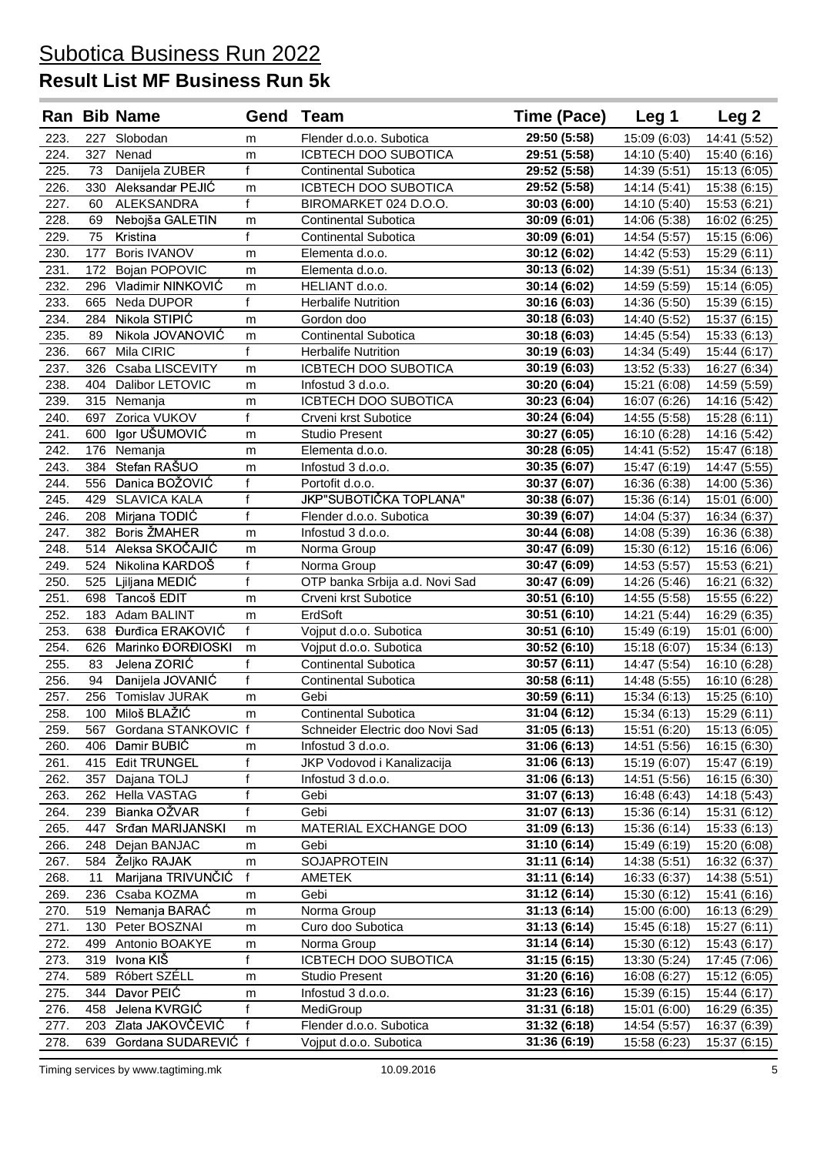|              |            | Ran Bib Name                  | Gend              | Team                             | Time (Pace)                  | Leg <sub>1</sub>             | Leg 2                        |
|--------------|------------|-------------------------------|-------------------|----------------------------------|------------------------------|------------------------------|------------------------------|
| 223.         | 227        | Slobodan                      | m                 | Flender d.o.o. Subotica          | 29:50 (5:58)                 | 15:09 (6:03)                 | 14:41 (5:52)                 |
| 224.         | 327        | Nenad                         | m                 | ICBTECH DOO SUBOTICA             | 29:51 (5:58)                 | 14:10 (5:40)                 | 15:40 (6:16)                 |
| 225.         | 73         | Danijela ZUBER                | $\mathbf{f}$      | Continental Subotica             | 29:52 (5:58)                 | 14:39 (5:51)                 | 15:13 (6:05)                 |
| 226.         |            | 330 Aleksandar PEJIĆ          | m                 | ICBTECH DOO SUBOTICA             | 29:52 (5:58)                 | 14:14 (5:41)                 | 15:38 (6:15)                 |
| 227.         | 60         | ALEKSANDRA                    | $\mathbf{f}$      | BIROMARKET 024 D.O.O.            | 30:03 (6:00)                 | 14:10 (5:40)                 | 15:53 (6:21)                 |
| 228.         | 69         | Nebojša GALETIN               | m                 | <b>Continental Subotica</b>      | 30:09 (6:01)                 | 14:06 (5:38)                 | 16:02 (6:25)                 |
| 229.         | 75         | Kristina                      | $\mathbf{f}$      | <b>Continental Subotica</b>      | 30:09 (6:01)                 | 14:54 (5:57)                 | 15:15 (6:06)                 |
| 230.         | 177        | <b>Boris IVANOV</b>           | m                 | Elementa d.o.o.                  | 30:12 (6:02)                 | 14:42 (5:53)                 | 15:29 (6:11)                 |
| 231.         | 172        | Bojan POPOVIC                 | m                 | Elementa d.o.o.                  | 30:13 (6:02)                 | 14:39 (5:51)                 | 15:34 (6:13)                 |
| 232.         |            | 296 Vladimir NINKOVIĆ         | m                 | HELIANT d.o.o.                   | 30:14 (6:02)                 | 14:59 (5:59)                 | 15:14 (6:05)                 |
| 233.         | 665        | Neda DUPOR                    | $\mathbf{f}$      | <b>Herbalife Nutrition</b>       | 30:16 (6:03)                 | 14:36 (5:50)                 | 15:39 (6:15)                 |
| 234.         | 284        | Nikola STIPIĆ                 | m                 | Gordon doo                       | 30:18 (6:03)                 | 14:40 (5:52)                 | 15:37 (6:15)                 |
| 235.         | 89         | Nikola JOVANOVIĆ              | m                 | <b>Continental Subotica</b>      | 30:18 (6:03)                 | 14:45 (5:54)                 | 15:33 (6:13)                 |
| 236.         | 667        | Mila CIRIC                    | $\mathbf{f}$      | <b>Herbalife Nutrition</b>       | 30:19 (6:03)                 | 14:34 (5:49)                 | 15:44 (6:17)                 |
| 237.         | 326        | Csaba LISCEVITY               | m                 | ICBTECH DOO SUBOTICA             | 30:19 (6:03)                 | 13:52 (5:33)                 | 16:27 (6:34)                 |
| 238.         | 404        | Dalibor LETOVIC               | m                 | Infostud 3 d.o.o.                | 30:20 (6:04)                 | 15:21 (6:08)                 | 14:59 (5:59)                 |
| 239.         |            | 315 Nemanja                   | m                 | ICBTECH DOO SUBOTICA             | 30:23 (6:04)                 | 16:07 (6:26)                 | 14:16 (5:42)                 |
| 240.         |            | 697 Zorica VUKOV              | $\mathbf{f}$      | Crveni krst Subotice             | 30:24 (6:04)                 | 14:55 (5:58)                 | 15:28 (6:11)                 |
| 241.         | 600        | Igor UŠUMOVIĆ                 | m                 | <b>Studio Present</b>            | 30:27 (6:05)                 | 16:10 (6:28)                 | 14:16 (5:42)                 |
| 242.         | 176        | Nemanja                       | m                 | Elementa d.o.o.                  | 30:28 (6:05)                 | 14:41 (5:52)                 | 15:47 (6:18)                 |
| 243.         | 384        | Stefan RAŠUO                  | m                 | Infostud 3 d.o.o.                | 30:35 (6:07)                 | 15:47 (6:19)                 | 14:47 (5:55)                 |
| 244.         |            | 556 Danica BOŽOVIĆ            | f<br>$\mathbf{f}$ | Portofit d.o.o.                  | 30:37 (6:07)                 | 16:36 (6:38)                 | 14:00 (5:36)                 |
| 245.<br>246. | 429<br>208 | <b>SLAVICA KALA</b>           | f                 | JKP"SUBOTIČKA TOPLANA"           | 30:38 (6:07)                 | 15:36 (6:14)                 | 15:01 (6:00)                 |
| 247.         | 382        | Mirjana TODIĆ<br>Boris ŽMAHER |                   | Flender d.o.o. Subotica          | 30:39 (6:07)                 | 14:04 (5:37)                 | 16:34 (6:37)<br>16:36 (6:38) |
| 248.         | 514        | Aleksa SKOČAJIĆ               | m<br>m            | Infostud 3 d.o.o.<br>Norma Group | 30:44 (6:08)<br>30:47 (6:09) | 14:08 (5:39)<br>15:30 (6:12) | 15:16 (6:06)                 |
| 249.         | 524        | Nikolina KARDOŠ               | $\mathbf{f}$      | Norma Group                      | 30:47 (6:09)                 | 14:53 (5:57)                 | 15:53 (6:21)                 |
| 250.         |            | 525 Ljiljana MEDIĆ            | f                 | OTP banka Srbija a.d. Novi Sad   | 30:47 (6:09)                 | 14:26 (5:46)                 | 16:21 (6:32)                 |
| 251.         |            | 698 Tancoš EDIT               | m                 | Crveni krst Subotice             | 30:51 (6:10)                 | 14:55 (5:58)                 | 15:55 (6:22)                 |
| 252.         |            | 183 Adam BALINT               | m                 | ErdSoft                          | 30:51 (6:10)                 | 14:21 (5:44)                 | 16:29 (6:35)                 |
| 253.         |            | 638 Đurđica ERAKOVIĆ          | f                 | Vojput d.o.o. Subotica           | 30:51 (6:10)                 | 15:49 (6:19)                 | 15:01 (6:00)                 |
| 254.         | 626        | Marinko ĐORĐIOSKI             | m                 | Vojput d.o.o. Subotica           | 30:52 (6:10)                 | 15:18 (6:07)                 | 15:34 (6:13)                 |
| 255.         | 83         | Jelena ZORIĆ                  | $\mathbf{f}$      | Continental Subotica             | 30:57 (6:11)                 | 14:47 (5:54)                 | 16:10 (6:28)                 |
| 256.         | 94         | Danijela JOVANIĆ              | f                 | <b>Continental Subotica</b>      | 30:58 (6:11)                 | 14:48 (5:55)                 | 16:10 (6:28)                 |
| 257.         | 256        | Tomislav JURAK                | m                 | Gebi                             | 30:59 (6:11)                 | 15:34 (6:13)                 | 15:25 (6:10)                 |
| 258.         | 100        | Miloš BLAŽIĆ                  | m                 | <b>Continental Subotica</b>      | 31:04 (6:12)                 | 15:34 (6:13)                 | 15:29 (6:11)                 |
| 259.         |            | 567 Gordana STANKOVIC f       |                   | Schneider Electric doo Novi Sad  | 31:05(6:13)                  | 15:51 (6:20)                 | 15:13 (6:05)                 |
| 260.         | 406        | Damir BUBIC                   | m                 | Infostud 3 d.o.o.                | 31:06 (6:13)                 | 14:51 (5:56)                 | 16:15 (6:30)                 |
| 261.         | 415        | <b>Edit TRUNGEL</b>           | f                 | JKP Vodovod i Kanalizacija       | 31:06 (6:13)                 | 15:19 (6:07)                 | 15:47 (6:19)                 |
| 262.         | 357        | Dajana TOLJ                   | f                 | Infostud 3 d.o.o.                | 31:06 (6:13)                 | 14:51 (5:56)                 | 16:15 (6:30)                 |
| 263.         | 262        | <b>Hella VASTAG</b>           | f                 | Gebi                             | 31:07 (6:13)                 | 16:48 (6:43)                 | 14:18 (5:43)                 |
| 264.         | 239        | Bianka OŽVAR                  | $\mathsf{f}$      | Gebi                             | 31:07 (6:13)                 | 15:36 (6:14)                 | 15:31 (6:12)                 |
| 265.         | 447        | Srđan MARIJANSKI              | m                 | MATERIAL EXCHANGE DOO            | 31:09 (6:13)                 | 15:36 (6:14)                 | 15:33 (6:13)                 |
| 266.         | 248        | Dejan BANJAC                  | m                 | Gebi                             | 31:10 (6:14)                 | 15:49 (6:19)                 | 15:20 (6:08)                 |
| 267.         | 584        | Željko RAJAK                  | m                 | <b>SOJAPROTEIN</b>               | 31:11 (6:14)                 | 14:38 (5:51)                 | 16:32 (6:37)                 |
| 268.         | 11         | Marijana TRIVUNČIĆ            | $\mathsf{f}$      | AMETEK                           | 31:11 (6:14)                 | 16:33 (6:37)                 | 14:38 (5:51)                 |
| 269.         | 236        | Csaba KOZMA                   | m                 | Gebi                             | 31:12 (6:14)                 | 15:30 (6:12)                 | 15:41 (6:16)                 |
| 270.         | 519        | Nemanja BARAĆ                 | m                 | Norma Group                      | 31:13 (6:14)                 | 15:00 (6:00)                 | 16:13 (6:29)                 |
| 271.         | 130        | Peter BOSZNAI                 | m                 | Curo doo Subotica                | 31:13 (6:14)                 | 15:45 (6:18)                 | 15:27 (6:11)                 |
| 272.         | 499        | Antonio BOAKYE                | m                 | Norma Group                      | 31:14 (6:14)                 | 15:30 (6:12)                 | 15:43 (6:17)                 |
| 273.         | 319        | Ivona KIŠ                     | $\mathsf{f}$      | ICBTECH DOO SUBOTICA             | 31:15 (6:15)                 | 13:30 (5:24)                 | 17:45 (7:06)                 |
| 274.         | 589        | Róbert SZÉLL                  | m                 | <b>Studio Present</b>            | 31:20 (6:16)                 | 16:08 (6:27)                 | 15:12 (6:05)                 |
| 275.         | 344        | Davor PEIC                    | m                 | Infostud 3 d.o.o.                | 31:23 (6:16)                 | 15:39 (6:15)                 | 15:44 (6:17)                 |
| 276.         | 458        | Jelena KVRGIĆ                 | f                 | MediGroup                        | 31:31 (6:18)                 | 15:01 (6:00)                 | 16:29 (6:35)                 |
| 277.         | 203        | Zlata JAKOVČEVIĆ              | f                 | Flender d.o.o. Subotica          | 31:32 (6:18)                 | 14:54 (5:57)                 | 16:37 (6:39)                 |
| 278.         | 639        | Gordana SUDAREVIĆ f           |                   | Vojput d.o.o. Subotica           | 31:36 (6:19)                 | 15:58 (6:23)                 | 15:37 (6:15)                 |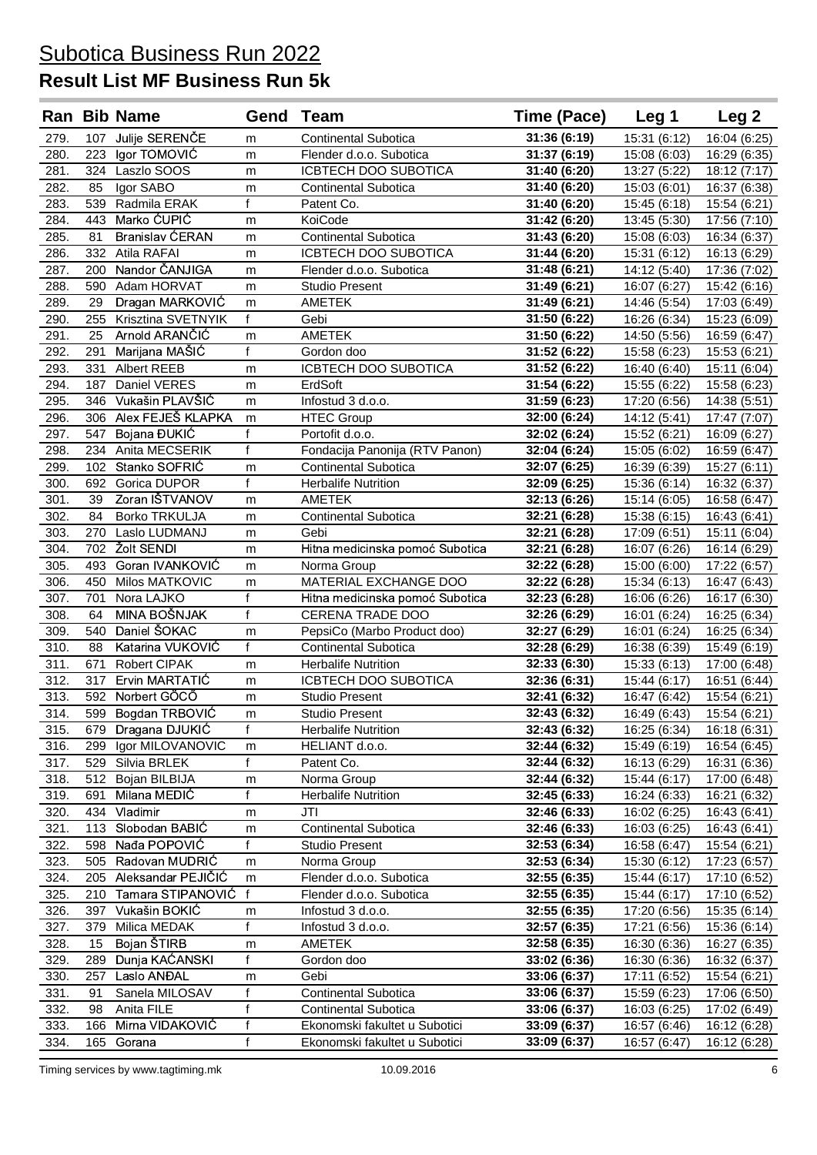|      |     | <b>Ran Bib Name</b>    | Gend         | Team                            | Time (Pace)  | Leg 1        | Leg <sub>2</sub> |
|------|-----|------------------------|--------------|---------------------------------|--------------|--------------|------------------|
| 279. |     | 107 Julije SERENČE     | m            | Continental Subotica            | 31:36 (6:19) | 15:31 (6:12) | 16:04 (6:25)     |
| 280. | 223 | Igor TOMOVIĆ           | m            | Flender d.o.o. Subotica         | 31:37 (6:19) | 15:08 (6:03) | 16:29 (6:35)     |
| 281. | 324 | Laszlo SOOS            | m            | ICBTECH DOO SUBOTICA            | 31:40 (6:20) | 13:27 (5:22) | 18:12 (7:17)     |
| 282. | 85  | Igor SABO              | m            | <b>Continental Subotica</b>     | 31:40 (6:20) | 15:03 (6:01) | 16:37 (6:38)     |
| 283. | 539 | Radmila ERAK           | $\mathsf{f}$ | Patent Co.                      | 31:40 (6:20) | 15:45 (6:18) | 15:54 (6:21)     |
| 284. |     | 443 Marko ĆUPIĆ        | m            | KoiCode                         | 31:42 (6:20) | 13:45 (5:30) | 17:56 (7:10)     |
| 285. | 81  | <b>Branislav ĆERAN</b> | m            | <b>Continental Subotica</b>     | 31:43 (6:20) | 15:08 (6:03) | 16:34 (6:37)     |
| 286. |     | 332 Atila RAFAI        | m            | ICBTECH DOO SUBOTICA            | 31:44 (6:20) | 15:31 (6:12) | 16:13 (6:29)     |
| 287. | 200 | Nandor ČANJIGA         | m            | Flender d.o.o. Subotica         | 31:48 (6:21) | 14:12 (5:40) | 17:36 (7:02)     |
| 288. |     | 590 Adam HORVAT        | m            | <b>Studio Present</b>           | 31:49 (6:21) | 16:07 (6:27) | 15:42 (6:16)     |
| 289. | 29  | Dragan MARKOVIĆ        | m            | AMETEK                          | 31:49 (6:21) | 14:46 (5:54) | 17:03 (6:49)     |
| 290. | 255 | Krisztina SVETNYIK     | f            | Gebi                            | 31:50 (6:22) | 16:26 (6:34) | 15:23 (6:09)     |
| 291. | 25  | Arnold ARANČIĆ         | m            | <b>AMETEK</b>                   | 31:50 (6:22) | 14:50 (5:56) | 16:59 (6:47)     |
| 292. | 291 | Marijana MAŠIĆ         | f            | Gordon doo                      | 31:52 (6:22) | 15:58 (6:23) | 15:53 (6:21)     |
| 293. | 331 | <b>Albert REEB</b>     | m            | ICBTECH DOO SUBOTICA            | 31:52 (6:22) | 16:40 (6:40) | 15:11 (6:04)     |
| 294. | 187 | Daniel VERES           | m            | ErdSoft                         | 31:54 (6:22) | 15:55 (6:22) | 15:58 (6:23)     |
| 295. |     | 346 Vukašin PLAVŠIĆ    | m            | Infostud 3 d.o.o.               | 31:59 (6:23) | 17:20 (6:56) | 14:38 (5:51)     |
| 296. |     | 306 Alex FEJEŠ KLAPKA  | m            | <b>HTEC Group</b>               | 32:00 (6:24) | 14:12 (5:41) | 17:47 (7:07)     |
| 297. | 547 | Bojana ĐUKIĆ           | f            | Portofit d.o.o.                 | 32:02 (6:24) | 15:52 (6:21) | 16:09 (6:27)     |
| 298. |     | 234 Anita MECSERIK     | f            | Fondacija Panonija (RTV Panon)  | 32:04 (6:24) | 15:05 (6:02) | 16:59 (6:47)     |
| 299. |     | 102 Stanko SOFRIĆ      | m            | <b>Continental Subotica</b>     | 32:07 (6:25) | 16:39 (6:39) | 15:27 (6:11)     |
| 300. |     | 692 Gorica DUPOR       | f            | <b>Herbalife Nutrition</b>      | 32:09 (6:25) | 15:36 (6:14) | 16:32 (6:37)     |
| 301. | 39  | Zoran IŠTVANOV         | m            | <b>AMETEK</b>                   | 32:13 (6:26) | 15:14 (6:05) | 16:58 (6:47)     |
| 302. | 84  | <b>Borko TRKULJA</b>   | m            | Continental Subotica            | 32:21 (6:28) | 15:38 (6:15) | 16:43 (6:41)     |
| 303. |     | 270 Laslo LUDMANJ      | m            | Gebi                            | 32:21 (6:28) | 17:09 (6:51) | 15:11 (6:04)     |
| 304. | 702 | <b>Žolt SENDI</b>      | m            | Hitna medicinska pomoć Subotica | 32:21 (6:28) | 16:07 (6:26) | 16:14 (6:29)     |
| 305. | 493 | Goran IVANKOVIĆ        | m            | Norma Group                     | 32:22 (6:28) | 15:00 (6:00) | 17:22 (6:57)     |
| 306. |     | 450 Milos MATKOVIC     | m            | MATERIAL EXCHANGE DOO           | 32:22 (6:28) | 15:34 (6:13) | 16:47 (6:43)     |
| 307. | 701 | Nora LAJKO             | f            | Hitna medicinska pomoć Subotica | 32:23 (6:28) | 16:06 (6:26) | 16:17 (6:30)     |
| 308. | 64  | MINA BOŠNJAK           | $\mathsf{f}$ | CERENA TRADE DOO                | 32:26 (6:29) | 16:01 (6:24) | 16:25 (6:34)     |
| 309. | 540 | Daniel ŠOKAC           | m            | PepsiCo (Marbo Product doo)     | 32:27 (6:29) | 16:01 (6:24) | 16:25 (6:34)     |
| 310. | 88  | Katarina VUKOVIĆ       | f            | Continental Subotica            | 32:28 (6:29) | 16:38 (6:39) | 15:49 (6:19)     |
| 311. | 671 | Robert CIPAK           | m            | <b>Herbalife Nutrition</b>      | 32:33 (6:30) | 15:33 (6:13) | 17:00 (6:48)     |
| 312. | 317 | Ervin MARTATIĆ         | m            | ICBTECH DOO SUBOTICA            | 32:36 (6:31) | 15:44 (6:17) | 16:51 (6:44)     |
| 313. | 592 | Norbert GÖCŐ           | m            | <b>Studio Present</b>           | 32:41 (6:32) | 16:47 (6:42) | 15:54 (6:21)     |
| 314. |     | 599 Bogdan TRBOVIĆ     | m            | <b>Studio Present</b>           | 32:43 (6:32) | 16:49 (6:43) | 15:54 (6:21)     |
| 315. |     | 679 Dragana DJUKIĆ     | f            | <b>Herbalife Nutrition</b>      | 32:43 (6:32) | 16:25 (6:34) | 16:18 (6:31)     |
| 316. | 299 | Igor MILOVANOVIC       | m            | HELIANT d.o.o.                  | 32:44 (6:32) | 15:49 (6:19) | 16:54 (6:45)     |
| 317. | 529 | Silvia BRLEK           | f            | Patent Co.                      | 32:44 (6:32) | 16:13 (6:29) | 16:31 (6:36)     |
| 318. | 512 | Bojan BILBIJA          | m            | Norma Group                     | 32:44 (6:32) | 15:44 (6:17) | 17:00 (6:48)     |
| 319. | 691 | Milana MEDIĆ           | f            | <b>Herbalife Nutrition</b>      | 32:45 (6:33) | 16:24 (6:33) | 16:21 (6:32)     |
| 320. | 434 | Vladimir               | m            | JTI                             | 32:46 (6:33) | 16:02 (6:25) | 16:43 (6:41)     |
| 321. | 113 | Slobodan BABIĆ         | m            | <b>Continental Subotica</b>     | 32:46 (6:33) | 16:03 (6:25) | 16:43 (6:41)     |
| 322. | 598 | Nađa POPOVIĆ           | f            | <b>Studio Present</b>           | 32:53 (6:34) | 16:58 (6:47) | 15:54 (6:21)     |
| 323. | 505 | Radovan MUDRIĆ         | m            | Norma Group                     | 32:53 (6:34) | 15:30 (6:12) | 17:23 (6:57)     |
| 324. | 205 | Aleksandar PEJIČIĆ     | m            | Flender d.o.o. Subotica         | 32:55 (6:35) | 15:44 (6:17) | 17:10 (6:52)     |
| 325. | 210 | Tamara STIPANOVIĆ      | $\mathbf{f}$ | Flender d.o.o. Subotica         | 32:55 (6:35) | 15:44 (6:17) | 17:10 (6:52)     |
| 326. | 397 | Vukašin BOKIĆ          | m            | Infostud 3 d.o.o.               | 32:55 (6:35) | 17:20 (6:56) | 15:35 (6:14)     |
| 327. | 379 | Milica MEDAK           | f            | Infostud 3 d.o.o.               | 32:57 (6:35) | 17:21 (6:56) | 15:36 (6:14)     |
| 328. | 15  | Bojan ŠTIRB            | m            | <b>AMETEK</b>                   | 32:58 (6:35) | 16:30 (6:36) | 16:27 (6:35)     |
| 329. | 289 | Dunja KAĆANSKI         | f            | Gordon doo                      | 33:02 (6:36) | 16:30 (6:36) | 16:32 (6:37)     |
| 330. | 257 | Laslo ANĐAL            | m            | Gebi                            | 33:06 (6:37) | 17:11 (6:52) | 15:54 (6:21)     |
| 331. | 91  | Sanela MILOSAV         | f            | <b>Continental Subotica</b>     | 33:06 (6:37) | 15:59 (6:23) | 17:06 (6:50)     |
| 332. | 98  | Anita FILE             | f            | <b>Continental Subotica</b>     | 33:06 (6:37) | 16:03 (6:25) | 17:02 (6:49)     |
| 333. | 166 | Mirna VIDAKOVIĆ        | f            | Ekonomski fakultet u Subotici   | 33:09 (6:37) | 16:57 (6:46) | 16:12 (6:28)     |
| 334. | 165 | Gorana                 | f            | Ekonomski fakultet u Subotici   | 33:09 (6:37) | 16:57 (6:47) | 16:12 (6:28)     |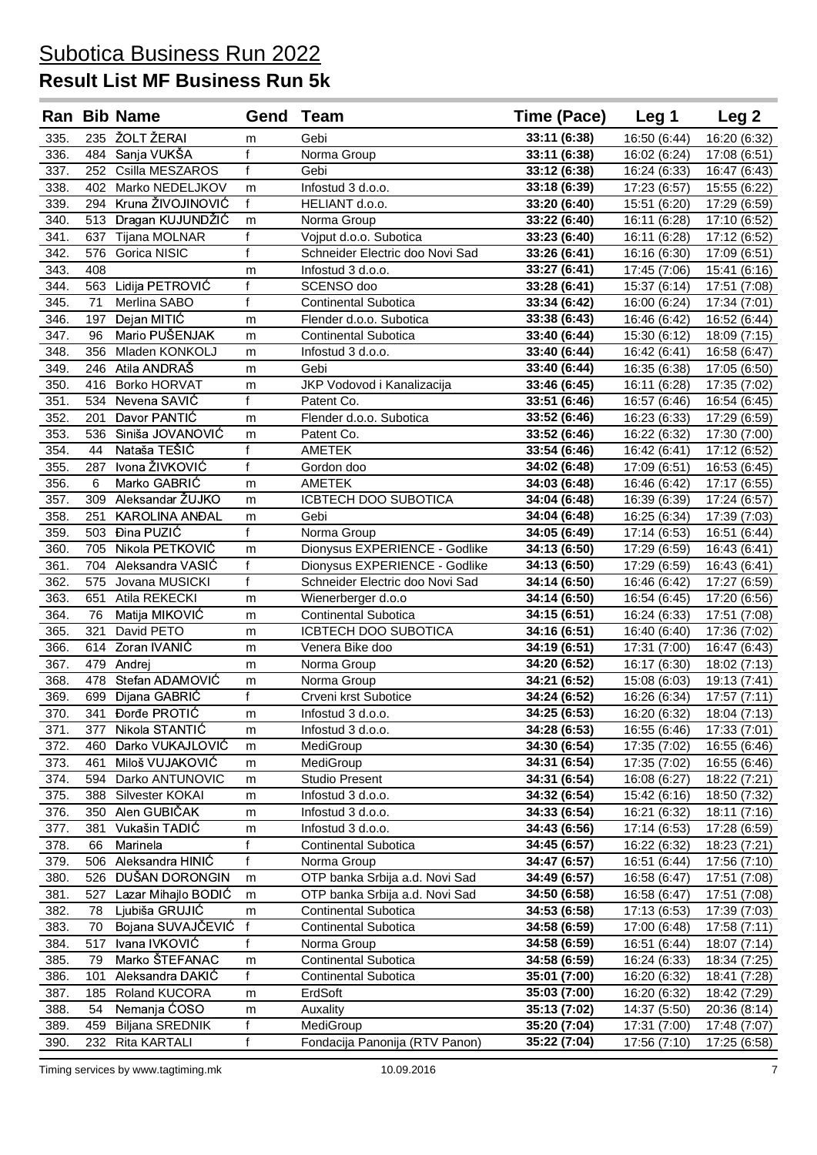### **Result List MF Business Run 5k**

|      |     | <b>Ran Bib Name</b>   | Gend Team      |                                 | Time (Pace)  | Leg 1        | Leg 2        |
|------|-----|-----------------------|----------------|---------------------------------|--------------|--------------|--------------|
| 335. |     | 235 ŽOLT ŽERAI        | m              | Gebi                            | 33:11 (6:38) | 16:50 (6:44) | 16:20 (6:32) |
| 336. |     | 484 Sanja VUKŠA       | $\mathsf{f}$   | Norma Group                     | 33:11 (6:38) | 16:02 (6:24) | 17:08 (6:51) |
| 337. |     | 252 Csilla MESZAROS   | f              | Gebi                            | 33:12 (6:38) | 16:24 (6:33) | 16:47 (6:43) |
| 338. |     | 402 Marko NEDELJKOV   | m              | Infostud 3 d.o.o.               | 33:18 (6:39) | 17:23 (6:57) | 15:55 (6:22) |
| 339. | 294 | Kruna ŽIVOJINOVIĆ     | f              | HELIANT d.o.o.                  | 33:20 (6:40) | 15:51 (6:20) | 17:29 (6:59) |
| 340. |     | 513 Dragan KUJUNDŽIĆ  | m              | Norma Group                     | 33:22 (6:40) | 16:11 (6:28) | 17:10 (6:52) |
| 341. | 637 | Tijana MOLNAR         | f              | Vojput d.o.o. Subotica          | 33:23 (6:40) | 16:11 (6:28) | 17:12 (6:52) |
| 342. | 576 | Gorica NISIC          | f              | Schneider Electric doo Novi Sad | 33:26 (6:41) | 16:16 (6:30) | 17:09 (6:51) |
| 343. | 408 |                       | m              | Infostud 3 d.o.o.               | 33:27 (6:41) | 17:45 (7:06) | 15:41 (6:16) |
| 344. |     | 563 Lidija PETROVIĆ   | $\mathsf{f}$   | SCENSO doo                      | 33:28 (6:41) | 15:37 (6:14) | 17:51 (7:08) |
| 345. | 71  | Merlina SABO          | f              | <b>Continental Subotica</b>     | 33:34 (6:42) | 16:00 (6:24) | 17:34 (7:01) |
| 346. | 197 | Dejan MITIĆ           | m              | Flender d.o.o. Subotica         | 33:38 (6:43) | 16:46 (6:42) | 16:52 (6:44) |
| 347. | 96  | Mario PUŠENJAK        | m              | <b>Continental Subotica</b>     | 33:40 (6:44) | 15:30 (6:12) | 18:09 (7:15) |
| 348. | 356 | Mladen KONKOLJ        | m              | Infostud 3 d.o.o.               | 33:40 (6:44) | 16:42 (6:41) | 16:58 (6:47) |
| 349. |     | 246 Atila ANDRAŠ      | m              | Gebi                            | 33:40 (6:44) | 16:35 (6:38) | 17:05 (6:50) |
| 350. |     | 416 Borko HORVAT      | m              | JKP Vodovod i Kanalizacija      | 33:46 (6:45) | 16:11 (6:28) | 17:35 (7:02) |
| 351. |     | 534 Nevena SAVIĆ      | $\mathsf{f}$   | Patent Co.                      | 33:51 (6:46) | 16:57 (6:46) | 16:54 (6:45) |
| 352. | 201 | Davor PANTIC          | m              | Flender d.o.o. Subotica         | 33:52 (6:46) | 16:23 (6:33) | 17:29 (6:59) |
| 353. |     | 536 Siniša JOVANOVIĆ  | m              | Patent Co.                      | 33:52 (6:46) | 16:22 (6:32) | 17:30 (7:00) |
| 354. | 44  | Nataša TEŠIĆ          | $\mathsf{f}$   | <b>AMETEK</b>                   | 33:54 (6:46) | 16:42 (6:41) | 17:12 (6:52) |
| 355. | 287 | Ivona ŽIVKOVIĆ        | $\mathsf{f}$   | Gordon doo                      | 34:02 (6:48) | 17:09 (6:51) | 16:53 (6:45) |
| 356. | 6   | Marko GABRIĆ          | m              | <b>AMETEK</b>                   | 34:03 (6:48) | 16:46 (6:42) | 17:17 (6:55) |
| 357. |     | 309 Aleksandar ŽUJKO  | m              | ICBTECH DOO SUBOTICA            | 34:04 (6:48) | 16:39 (6:39) | 17:24 (6:57) |
| 358. | 251 | <b>KAROLINA ANĐAL</b> | m              | Gebi                            | 34:04 (6:48) | 16:25 (6:34) | 17:39 (7:03) |
| 359. |     | 503 Đina PUZIĆ        | $\overline{f}$ | Norma Group                     | 34:05 (6:49) | 17:14 (6:53) | 16:51 (6:44) |
| 360. | 705 | Nikola PETKOVIĆ       | m              | Dionysus EXPERIENCE - Godlike   | 34:13 (6:50) | 17:29 (6:59) | 16:43 (6:41) |
| 361. | 704 | Aleksandra VASIĆ      | f              | Dionysus EXPERIENCE - Godlike   | 34:13 (6:50) | 17:29 (6:59) | 16:43 (6:41) |
| 362  |     | 575 Jovana MUSICKI    | f              | Schneider Electric doo Novi Sad | 34:14 (6:50) | 16:46 (6:42) | 17:27 (6:59) |
| 363. | 651 | Atila REKECKI         | m              | Wienerberger d.o.o              | 34:14 (6:50) | 16:54 (6:45) | 17:20 (6:56) |
| 364. | 76  | Matija MIKOVIĆ        | m              | Continental Subotica            | 34:15 (6:51) | 16:24 (6:33) | 17:51 (7:08) |
| 365. | 321 | David PETO            | m              | ICBTECH DOO SUBOTICA            | 34:16 (6:51) | 16:40 (6:40) | 17:36 (7:02) |
| 366. | 614 | Zoran IVANIĆ          | m              | Venera Bike doo                 | 34:19 (6:51) | 17:31 (7:00) | 16:47 (6:43) |
| 367. |     | 479 Andrej            | m              | Norma Group                     | 34:20 (6:52) | 16:17 (6:30) | 18:02 (7:13) |
| 368. | 478 | Stefan ADAMOVIĆ       | m              | Norma Group                     | 34:21 (6:52) | 15:08 (6:03) | 19:13 (7:41) |
| 369. | 699 | Dijana GABRIĆ         | f              | Crveni krst Subotice            | 34:24 (6:52) | 16:26 (6:34) | 17:57 (7:11) |
| 370. | 341 | <b>Đorđe PROTIĆ</b>   | m              | Infostud 3 d.o.o.               | 34:25 (6:53) | 16:20 (6:32) | 18:04 (7:13) |
| 371. | 377 | Nikola STANTIĆ        | m              | Infostud 3 d.o.o.               | 34:28 (6:53) | 16:55 (6:46) | 17:33 (7:01) |
| 372. | 460 | Darko VUKAJLOVIĆ      | m              | MediGroup                       | 34:30(6:54)  | 17:35 (7:02) | 16:55 (6:46) |
| 373. | 461 | Miloš VUJAKOVIĆ       | m              | MediGroup                       | 34:31 (6:54) | 17:35 (7:02) | 16:55 (6:46) |
| 374. | 594 | Darko ANTUNOVIC       | m              | <b>Studio Present</b>           | 34:31 (6:54) | 16:08 (6:27) | 18:22 (7:21) |
| 375. | 388 | Silvester KOKAI       | m              | Infostud 3 d.o.o.               | 34:32 (6:54) | 15:42 (6:16) | 18:50 (7:32) |
| 376. | 350 | Alen GUBIČAK          | m              | Infostud 3 d.o.o.               | 34:33 (6:54) | 16:21 (6:32) | 18:11 (7:16) |
| 377. | 381 | Vukašin TADIĆ         | m              | Infostud 3 d.o.o.               | 34:43 (6:56) | 17:14 (6:53) | 17:28 (6:59) |
| 378. | 66  | Marinela              | f              | Continental Subotica            | 34:45 (6:57) | 16:22 (6:32) | 18:23 (7:21) |
| 379. | 506 | Aleksandra HINIĆ      | f              | Norma Group                     | 34:47 (6:57) | 16:51 (6:44) | 17:56 (7:10) |
| 380. | 526 | DUŠAN DORONGIN        | m              | OTP banka Srbija a.d. Novi Sad  | 34:49 (6:57) | 16:58 (6:47) | 17:51 (7:08) |
| 381. | 527 | Lazar Mihajlo BODIĆ   | m              | OTP banka Srbija a.d. Novi Sad  | 34:50 (6:58) | 16:58 (6:47) | 17:51 (7:08) |
| 382. | 78  | Ljubiša GRUJIĆ        | m              | <b>Continental Subotica</b>     | 34:53 (6:58) | 17:13 (6:53) | 17:39 (7:03) |
| 383. | 70  | Bojana SUVAJČEVIĆ     | f              | <b>Continental Subotica</b>     | 34:58 (6:59) | 17:00 (6:48) | 17:58 (7:11) |
| 384. | 517 | Ivana IVKOVIĆ         | f              | Norma Group                     | 34:58 (6:59) | 16:51 (6:44) | 18:07 (7:14) |
| 385. | 79  | Marko ŠTEFANAC        | m              | <b>Continental Subotica</b>     | 34:58 (6:59) | 16:24 (6:33) | 18:34 (7:25) |
| 386. | 101 | Aleksandra DAKIĆ      | f              | <b>Continental Subotica</b>     | 35:01 (7:00) | 16:20 (6:32) | 18:41 (7:28) |
| 387. | 185 | Roland KUCORA         | m              | ErdSoft                         | 35:03 (7:00) | 16:20 (6:32) | 18:42 (7:29) |
| 388. | 54  | Nemanja ĆOSO          | m              | Auxality                        | 35:13 (7:02) | 14:37 (5:50) | 20:36 (8:14) |
| 389. | 459 | Biljana SREDNIK       | f              | MediGroup                       | 35:20 (7:04) | 17:31 (7:00) | 17:48 (7:07) |
| 390. | 232 | Rita KARTALI          | $\mathsf{f}$   | Fondacija Panonija (RTV Panon)  | 35:22 (7:04) | 17:56 (7:10) | 17:25 (6:58) |

Timing services by www.tagtiming.mk 10.09.2016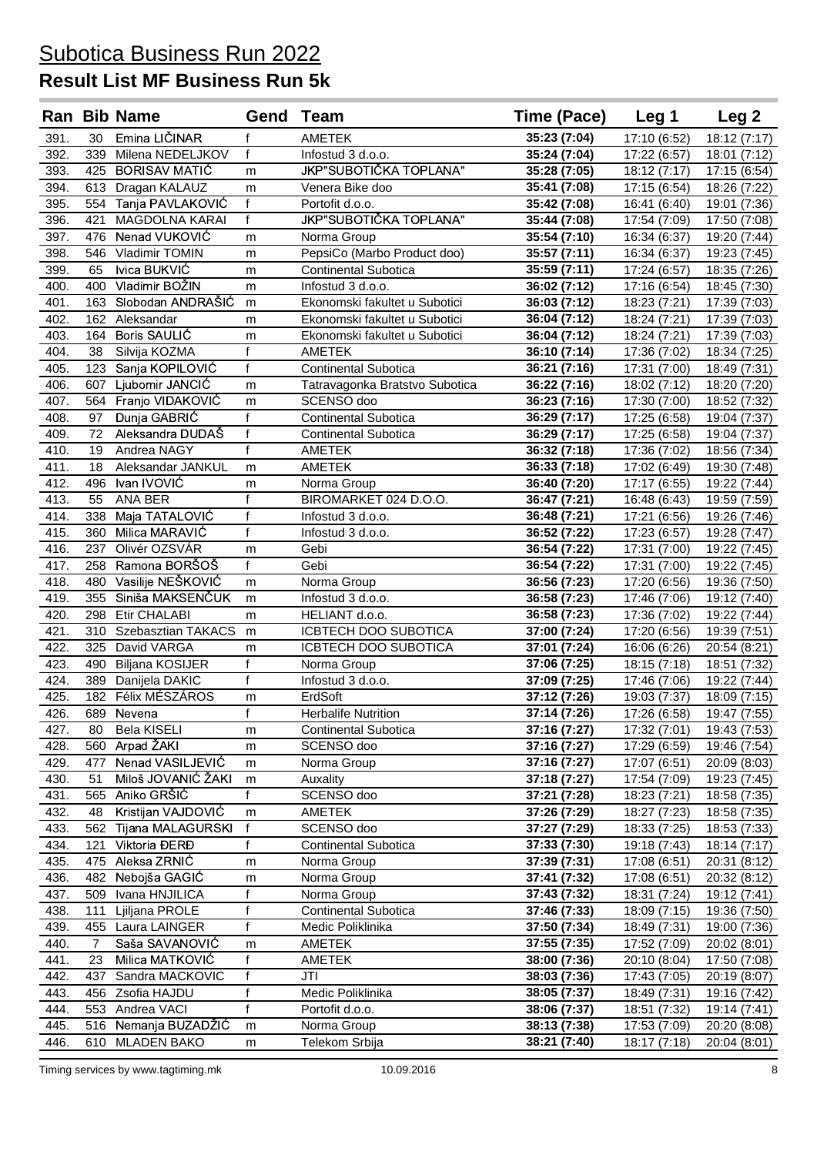|              |                | <b>Ran Bib Name</b>              | Gend              | Team                                  | Time (Pace)                  | Leg 1                        | Leg <sub>2</sub>             |
|--------------|----------------|----------------------------------|-------------------|---------------------------------------|------------------------------|------------------------------|------------------------------|
| 391.         | 30             | Emina LIČINAR                    | f                 | AMETEK                                | 35:23 (7:04)                 | 17:10 (6:52)                 | 18:12 (7:17)                 |
| 392.         |                | 339 Milena NEDELJKOV             | f                 | Infostud 3 d.o.o.                     | 35:24 (7:04)                 | 17:22 (6:57)                 | 18:01 (7:12)                 |
| 393.         |                | 425 BORISAV MATIĆ                | m                 | JKP"SUBOTIČKA TOPLANA"                | 35:28 (7:05)                 | 18:12 (7:17)                 | 17:15 (6:54)                 |
| 394.         |                | 613 Dragan KALAUZ                | m                 | Venera Bike doo                       | 35:41 (7:08)                 | 17:15 (6:54)                 | 18:26 (7:22)                 |
| 395.         |                | 554 Tanja PAVLAKOVIĆ             | f                 | Portofit d.o.o.                       | 35:42 (7:08)                 | 16:41 (6:40)                 | 19:01 (7:36)                 |
| 396.         |                | 421 MAGDOLNA KARAI               | f                 | JKP"SUBOTIČKA TOPLANA"                | 35:44 (7:08)                 | 17:54 (7:09)                 | 17:50 (7:08)                 |
| 397.         |                | 476 Nenad VUKOVIĆ                | m                 | Norma Group                           | 35:54 (7:10)                 | 16:34 (6:37)                 | 19:20 (7:44)                 |
| 398.         |                | 546 Vladimir TOMIN               | m                 | PepsiCo (Marbo Product doo)           | 35:57 (7:11)                 | 16:34 (6:37)                 | 19:23 (7:45)                 |
| 399.         | 65             | Ivica BUKVIĆ                     | m                 | <b>Continental Subotica</b>           | 35:59 (7:11)                 | 17:24 (6:57)                 | 18:35 (7:26)                 |
| 400.         |                | 400 Vladimir BOŽIN               | m                 | Infostud 3 d.o.o.                     | 36:02 (7:12)                 | 17:16 (6:54)                 | 18:45 (7:30)                 |
| 401.         |                | 163 Slobodan ANDRAŠIĆ            | m                 | Ekonomski fakultet u Subotici         | 36:03 (7:12)                 | 18:23 (7:21)                 | 17:39 (7:03)                 |
| 402.         |                | 162 Aleksandar                   | m                 | Ekonomski fakultet u Subotici         | 36:04 (7:12)                 | 18:24 (7:21)                 | 17:39 (7:03)                 |
| 403.         |                | 164 Boris SAULIC                 | m                 | Ekonomski fakultet u Subotici         | 36:04 (7:12)                 | 18:24 (7:21)                 | 17:39 (7:03)                 |
| 404.         | 38             | Silvija KOZMA                    | $\mathsf{f}$      | AMETEK                                | 36:10 (7:14)                 | 17:36 (7:02)                 | 18:34 (7:25)                 |
| 405.         |                | 123 Sanja KOPILOVIĆ              | f                 | <b>Continental Subotica</b>           | 36:21 (7:16)                 | 17:31 (7:00)                 | 18:49 (7:31)                 |
| 406.         |                | 607 Ljubomir JANCIĆ              | m                 | Tatravagonka Bratstvo Subotica        | 36:22 (7:16)                 | 18:02 (7:12)                 | 18:20 (7:20)                 |
| 407.         |                | 564 Franjo VIDAKOVIĆ             | m                 | SCENSO doo                            | 36:23 (7:16)                 | 17:30 (7:00)                 | 18:52 (7:32)                 |
| 408.         | 97             | Dunja GABRIĆ                     | f                 | <b>Continental Subotica</b>           | 36:29 (7:17)                 | 17:25 (6:58)                 | 19:04 (7:37)                 |
| 409.         | 72             | Aleksandra DUDAŠ                 | f                 | <b>Continental Subotica</b>           | 36:29 (7:17)                 | 17:25 (6:58)                 | 19:04 (7:37)                 |
| 410.         | 19             | Andrea NAGY                      | f                 | <b>AMETEK</b>                         | 36:32 (7:18)                 | 17:36 (7:02)                 | 18:56 (7:34)                 |
| 411.         | 18             | Aleksandar JANKUL                | m                 | <b>AMETEK</b>                         | 36:33 (7:18)                 | 17:02 (6:49)                 | 19:30 (7:48)                 |
| 412.         |                | 496 Ivan IVOVIĆ                  | m                 | Norma Group                           | 36:40 (7:20)                 | 17:17 (6:55)                 | 19:22 (7:44)                 |
| 413.         | 55             | ANA BER                          | f                 | BIROMARKET 024 D.O.O.                 | 36:47 (7:21)                 | 16:48 (6:43)                 | 19:59 (7:59)                 |
| 414.         |                | 338 Maja TATALOVIĆ               | $\overline{f}$    | Infostud 3 d.o.o.                     | 36:48 (7:21)                 | 17:21 (6:56)                 | 19:26 (7:46)                 |
| 415.         |                | 360 Milica MARAVIĆ               | $\overline{f}$    | Infostud 3 d.o.o.                     | 36:52 (7:22)                 | 17:23 (6:57)                 | 19:28 (7:47)                 |
| 416.         | 237            | Olivér OZSVÁR                    | m                 | Gebi                                  | 36:54 (7:22)                 | 17:31 (7:00)                 | 19:22 (7:45)                 |
| 417.         |                | 258 Ramona BORŠOŠ                | $\overline{f}$    | Gebi                                  | 36:54 (7:22)                 | 17:31 (7:00)                 | 19:22 (7:45)                 |
| 418.         |                | 480 Vasilije NEŠKOVIĆ            | m                 | Norma Group                           | 36:56 (7:23)                 | 17:20 (6:56)                 | 19:36 (7:50)                 |
| 419.         |                | 355 Siniša MAKSENČUK             | m                 | Infostud 3 d.o.o.                     | 36:58 (7:23)                 | 17:46 (7:06)                 | 19:12 (7:40)                 |
| 420.         |                | 298 Etir CHALABI                 | m                 | HELIANT d.o.o.                        | 36:58 (7:23)                 | 17:36 (7:02)                 | 19:22 (7:44)                 |
| 421.         |                | 310 Szebasztian TAKACS           | m                 | ICBTECH DOO SUBOTICA                  | 37:00 (7:24)                 | 17:20 (6:56)                 | 19:39 (7:51)                 |
| 422.         |                | 325 David VARGA                  | m                 | ICBTECH DOO SUBOTICA                  | 37:01 (7:24)                 | 16:06 (6:26)                 | 20:54 (8:21)                 |
| 423.         |                | 490 Biljana KOSIJER              | $\mathbf{f}$      | Norma Group                           | 37:06 (7:25)                 | 18:15 (7:18)                 | 18:51 (7:32)                 |
| 424.         |                | 389 Danijela DAKIC               | $\mathsf{f}$      | Infostud 3 d.o.o.                     | 37:09 (7:25)                 | 17:46 (7:06)                 | 19:22 (7:44)                 |
| 425.         |                | 182 Félix MÉSZÁROS               | m<br>$\mathbf{f}$ | ErdSoft<br><b>Herbalife Nutrition</b> | 37:12 (7:26)<br>37:14 (7:26) | 19:03 (7:37)                 | 18:09 (7:15)                 |
| 426.         |                | 689 Nevena<br><b>Bela KISELI</b> |                   |                                       |                              | 17:26 (6:58)                 | 19:47 (7:55)                 |
| 427.<br>428. | 80<br>560      | Arpad ŽAKI                       | m                 | Continental Subotica<br>SCENSO doo    | 37:16 (7:27)<br>37:16 (7:27) | 17:32 (7:01)                 | 19:43 (7:53)<br>19:46 (7:54) |
| 429.         | 477            | Nenad VASILJEVIĆ                 | m<br>m            | Norma Group                           | 37:16 (7:27)                 | 17:29 (6:59)<br>17:07 (6:51) | 20:09 (8:03)                 |
| 430.         | 51             | Miloš JOVANIĆ ŽAKI               | m                 | Auxality                              | 37:18 (7:27)                 | 17:54 (7:09)                 | 19:23 (7:45)                 |
| 431.         |                | 565 Aniko GRŠIĆ                  | $\mathbf{f}$      | SCENSO doo                            | 37:21 (7:28)                 | 18:23 (7:21)                 | 18:58 (7:35)                 |
| 432.         | 48             | Kristijan VAJDOVIĆ               | m                 | <b>AMETEK</b>                         | 37:26 (7:29)                 | 18:27 (7:23)                 | 18:58 (7:35)                 |
| 433.         | 562            | Tijana MALAGURSKI                | f                 | SCENSO doo                            | 37:27 (7:29)                 | 18:33 (7:25)                 | 18:53 (7:33)                 |
| 434.         | 121            | Viktoria ĐERĐ                    | $\mathsf{f}$      | <b>Continental Subotica</b>           | 37:33 (7:30)                 | 19:18 (7:43)                 | 18:14 (7:17)                 |
| 435.         | 475            | Aleksa ZRNIĆ                     | m                 | Norma Group                           | 37:39 (7:31)                 | 17:08 (6:51)                 | 20:31 (8:12)                 |
| 436.         | 482            | Nebojša GAGIĆ                    | m                 | Norma Group                           | 37:41 (7:32)                 | 17:08 (6:51)                 | 20:32 (8:12)                 |
| 437.         | 509            | Ivana HNJILICA                   | f                 | Norma Group                           | 37:43 (7:32)                 | 18:31 (7:24)                 | 19:12 (7:41)                 |
| 438.         | 111            | Ljiljana PROLE                   | f                 | Continental Subotica                  | 37:46 (7:33)                 | 18:09 (7:15)                 | 19:36 (7:50)                 |
| 439.         | 455            | Laura LAINGER                    | f                 | Medic Poliklinika                     | 37:50 (7:34)                 | 18:49 (7:31)                 | 19:00 (7:36)                 |
| 440.         | $\overline{7}$ | Saša SAVANOVIĆ                   | m                 | <b>AMETEK</b>                         | 37:55 (7:35)                 | 17:52 (7:09)                 | 20:02(8:01)                  |
| 441.         | 23             | Milica MATKOVIĆ                  | f                 | <b>AMETEK</b>                         | 38:00 (7:36)                 | 20:10 (8:04)                 | 17:50 (7:08)                 |
| 442.         | 437            | Sandra MACKOVIC                  | f                 | JTI                                   | 38:03 (7:36)                 | 17:43 (7:05)                 | 20:19 (8:07)                 |
| 443.         | 456            | Zsofia HAJDU                     | f                 | Medic Poliklinika                     | 38:05 (7:37)                 | 18:49 (7:31)                 | 19:16 (7:42)                 |
| 444.         | 553            | Andrea VACI                      | $\mathsf{f}$      | Portofit d.o.o.                       | 38:06 (7:37)                 | 18:51 (7:32)                 | 19:14 (7:41)                 |
| 445.         | 516            | Nemanja BUZADŽIĆ                 | m                 | Norma Group                           | 38:13 (7:38)                 | 17:53 (7:09)                 | 20:20 (8:08)                 |
| 446.         |                | 610 MLADEN BAKO                  | m                 | Telekom Srbija                        | 38:21 (7:40)                 | 18:17 (7:18)                 | 20:04 (8:01)                 |
|              |                |                                  |                   |                                       |                              |                              |                              |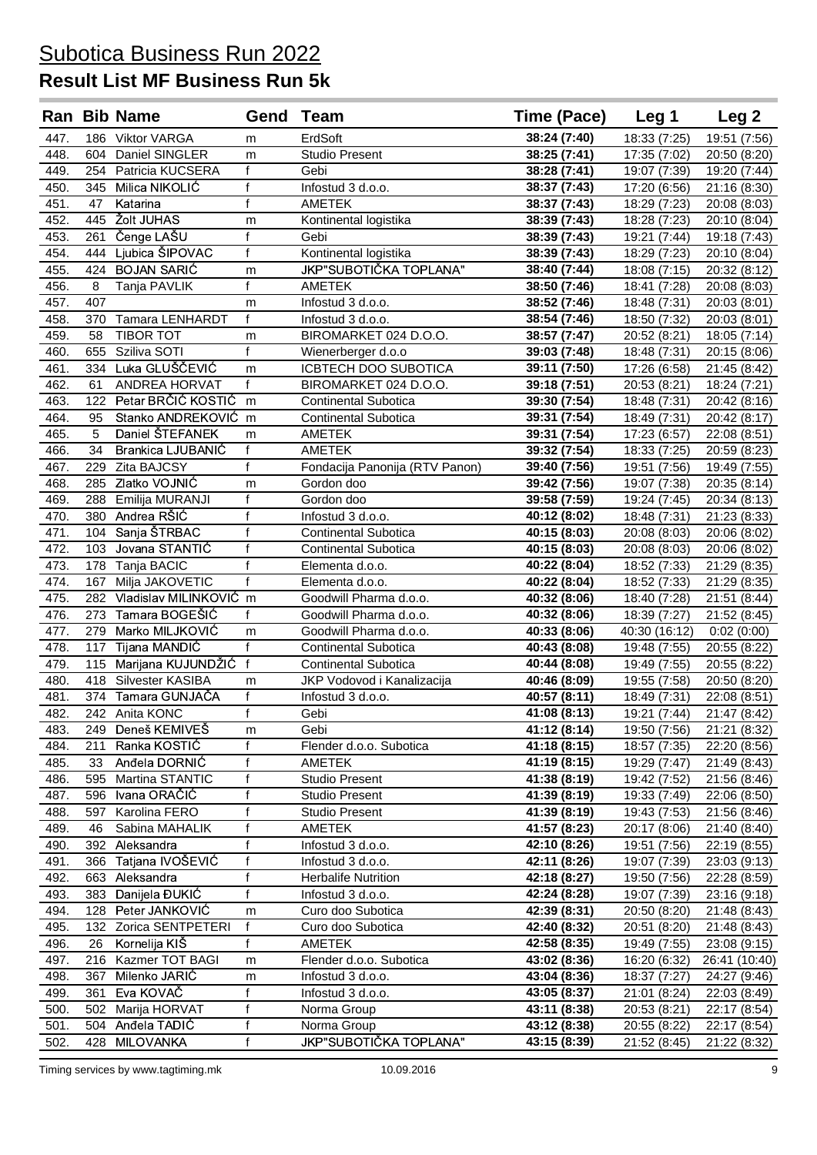|      |     | <b>Ran Bib Name</b>    | Gend Team    |                                | Time (Pace)              | Leg 1         | Leg <sub>2</sub> |
|------|-----|------------------------|--------------|--------------------------------|--------------------------|---------------|------------------|
| 447. |     | 186 Viktor VARGA       | m            | ErdSoft                        | 38:24 (7:40)             | 18:33 (7:25)  | 19:51 (7:56)     |
| 448. | 604 | Daniel SINGLER         | m            | <b>Studio Present</b>          | 38:25 (7:41)             | 17:35 (7:02)  | 20:50 (8:20)     |
| 449  | 254 | Patricia KUCSERA       | f            | Gebi                           | 38:28 (7:41)             | 19:07 (7:39)  | 19:20 (7:44)     |
| 450. |     | 345 Milica NIKOLIĆ     | f            | Infostud 3 d.o.o.              | 38:37 (7:43)             | 17:20 (6:56)  | 21:16 (8:30)     |
| 451. | 47  | Katarina               | f            | <b>AMETEK</b>                  | 38:37 (7:43)             | 18:29 (7:23)  | 20:08 (8:03)     |
| 452. | 445 | <b>Žolt JUHAS</b>      | m            | Kontinental logistika          | 38:39 (7:43)             | 18:28 (7:23)  | 20:10 (8:04)     |
| 453. | 261 | Čenge LAŠU             | $\mathsf{f}$ | Gebi                           | 38:39 (7:43)             | 19:21 (7:44)  | 19:18 (7:43)     |
| 454. | 444 | Ljubica ŠIPOVAC        | f            | Kontinental logistika          | 38:39 (7:43)             | 18:29 (7:23)  | 20:10 (8:04)     |
| 455. | 424 | <b>BOJAN SARIĆ</b>     | m            | JKP"SUBOTIČKA TOPLANA"         | 38:40 (7:44)             | 18:08 (7:15)  | 20:32 (8:12)     |
| 456. | 8   | Tanja PAVLIK           | f            | AMETEK                         | 38:50 (7:46)             | 18:41 (7:28)  | 20:08 (8:03)     |
| 457. | 407 |                        | m            | Infostud 3 d.o.o.              | 38:52 (7:46)             | 18:48 (7:31)  | 20:03 (8:01)     |
| 458. | 370 | <b>Tamara LENHARDT</b> | f            | Infostud 3 d.o.o.              | 38:54 (7:46)             | 18:50 (7:32)  | 20:03 (8:01)     |
| 459. | 58  | <b>TIBOR TOT</b>       | m            | BIROMARKET 024 D.O.O.          | 38:57 (7:47)             | 20:52 (8:21)  | 18:05 (7:14)     |
| 460. | 655 | Sziliva SOTI           | f            | Wienerberger d.o.o             | 39:03 (7:48)             | 18:48 (7:31)  | 20:15 (8:06)     |
| 461. | 334 | Luka GLUŠČEVIĆ         | m            | ICBTECH DOO SUBOTICA           | 39:11 (7:50)             | 17:26 (6:58)  | 21:45 (8:42)     |
| 462. | 61  | <b>ANDREA HORVAT</b>   | f            | BIROMARKET 024 D.O.O.          | 39:18 (7:51)             | 20:53 (8:21)  | 18:24 (7:21)     |
| 463. | 122 | Petar BRČIĆ KOSTIĆ     | m            | <b>Continental Subotica</b>    | 39:30 (7:54)             | 18:48 (7:31)  | 20:42 (8:16)     |
| 464. | 95  | Stanko ANDREKOVIĆ      | m            | Continental Subotica           | 39:31 (7:54)             | 18:49 (7:31)  | 20:42 (8:17)     |
| 465. | 5   | Daniel ŠTEFANEK        | m            | <b>AMETEK</b>                  | 39:31 (7:54)             | 17:23 (6:57)  | 22:08 (8:51)     |
| 466. | 34  | Brankica LJUBANIC      | f            | AMETEK                         | 39:32 (7:54)             | 18:33 (7:25)  | 20:59 (8:23)     |
| 467. | 229 | <b>Zita BAJCSY</b>     | f            | Fondacija Panonija (RTV Panon) | 39:40 (7:56)             | 19:51 (7:56)  | 19:49 (7:55)     |
| 468. | 285 | Zlatko VOJNIĆ          | m            | Gordon doo                     | 39:42 (7:56)             | 19:07 (7:38)  | 20:35 (8:14)     |
| 469. | 288 | Emilija MURANJI        | f            | Gordon doo                     | 39:58 (7:59)             | 19:24 (7:45)  | 20:34 (8:13)     |
| 470. | 380 | Andrea RŠIĆ            | f            | Infostud 3 d.o.o.              | 40:12 (8:02)             | 18:48 (7:31)  | 21:23 (8:33)     |
| 471. | 104 | Sanja ŠTRBAC           | f            | <b>Continental Subotica</b>    | 40:15 (8:03)             | 20:08 (8:03)  | 20:06 (8:02)     |
| 472. |     | 103 Jovana STANTIĆ     | f            | <b>Continental Subotica</b>    | 40:15 (8:03)             | 20:08 (8:03)  | 20:06 (8:02)     |
| 473. |     | 178 Tanja BACIC        | f            | Elementa d.o.o.                | 40:22 (8:04)             | 18:52 (7:33)  | 21:29 (8:35)     |
| 474. | 167 | Milja JAKOVETIC        | f            | Elementa d.o.o.                | 40:22 (8:04)             | 18:52 (7:33)  | 21:29 (8:35)     |
| 475. | 282 | Vladislav MILINKOVIĆ m |              | Goodwill Pharma d.o.o.         | 40:32 (8:06)             | 18:40 (7:28)  | 21:51 (8:44)     |
| 476. |     | 273 Tamara BOGEŠIĆ     | f            | Goodwill Pharma d.o.o.         | 40:32 (8:06)             | 18:39 (7:27)  | 21:52 (8:45)     |
| 477. | 279 | Marko MILJKOVIĆ        | m            | Goodwill Pharma d.o.o.         | 40:33 (8:06)             | 40:30 (16:12) | 0:02(0:00)       |
| 478. | 117 | Tijana MANDIĆ          | f            | <b>Continental Subotica</b>    | 40:43 (8:08)             | 19:48 (7:55)  | 20:55 (8:22)     |
| 479. |     | 115 Marijana KUJUNDŽIĆ | $\mathsf{f}$ | <b>Continental Subotica</b>    | 40:44 (8:08)             | 19:49 (7:55)  | 20:55 (8:22)     |
| 480. |     | 418 Silvester KASIBA   | m            | JKP Vodovod i Kanalizacija     | 40:46 (8:09)             | 19:55 (7:58)  | 20:50 (8:20)     |
| 481. |     | 374 Tamara GUNJAČA     | f            | Infostud 3 d.o.o.              | 40:57 (8:11)             | 18:49 (7:31)  | 22:08 (8:51)     |
| 482. |     | 242 Anita KONC         | f            | Gebi                           | 41:08 (8:13)             | 19:21 (7:44)  | 21:47 (8:42)     |
| 483. |     | 249 Deneš KEMIVEŠ      | m            | Gebi                           | 41:12 (8:14)             | 19:50 (7:56)  | 21:21 (8:32)     |
| 484. | 211 | Ranka KOSTIĆ           | f            | Flender d.o.o. Subotica        | $\overline{41:18(8:15)}$ | 18:57 (7:35)  | 22:20 (8:56)     |
| 485. | 33  | Anđela DORNIĆ          | f            | AMETEK                         | 41:19 (8:15)             | 19:29 (7:47)  | 21:49 (8:43)     |
| 486. | 595 | Martina STANTIC        | f            | <b>Studio Present</b>          | 41:38 (8:19)             | 19:42 (7:52)  | 21:56 (8:46)     |
| 487. | 596 | Ivana ORAČIĆ           | f            | <b>Studio Present</b>          | 41:39 (8:19)             | 19:33 (7:49)  | 22:06 (8:50)     |
| 488. | 597 | Karolina FERO          | f            | <b>Studio Present</b>          | 41:39 (8:19)             | 19:43 (7:53)  | 21:56 (8:46)     |
| 489. | 46  | Sabina MAHALIK         | f            | AMETEK                         | 41:57 (8:23)             | 20:17 (8:06)  | 21:40 (8:40)     |
| 490. | 392 | Aleksandra             | f            | Infostud 3 d.o.o.              | 42:10 (8:26)             | 19:51 (7:56)  | 22:19 (8:55)     |
| 491. | 366 | Tatjana IVOŠEVIĆ       | f            | Infostud 3 d.o.o.              | 42:11 (8:26)             | 19:07 (7:39)  | 23:03 (9:13)     |
| 492. | 663 | Aleksandra             | f            | <b>Herbalife Nutrition</b>     | 42:18 (8:27)             | 19:50 (7:56)  | 22:28 (8:59)     |
| 493. | 383 | Danijela ĐUKIĆ         | f            | Infostud 3 d.o.o.              | 42:24 (8:28)             | 19:07 (7:39)  | 23:16 (9:18)     |
| 494. | 128 | Peter JANKOVIĆ         | m            | Curo doo Subotica              | 42:39 (8:31)             | 20:50 (8:20)  | 21:48 (8:43)     |
| 495. | 132 | Zorica SENTPETERI      | f            | Curo doo Subotica              | 42:40 (8:32)             | 20:51 (8:20)  | 21:48 (8:43)     |
| 496. | 26  | Kornelija KIŠ          | f            | AMETEK                         | 42:58 (8:35)             | 19:49 (7:55)  | 23:08 (9:15)     |
| 497. | 216 | Kazmer TOT BAGI        | m            | Flender d.o.o. Subotica        | 43:02 (8:36)             | 16:20 (6:32)  | 26:41 (10:40)    |
| 498. | 367 | Milenko JARIĆ          | m            | Infostud 3 d.o.o.              | 43:04 (8:36)             | 18:37 (7:27)  | 24:27 (9:46)     |
| 499. | 361 | Eva KOVAČ              | f            | Infostud 3 d.o.o.              | 43:05 (8:37)             | 21:01 (8:24)  | 22:03 (8:49)     |
| 500. | 502 | Marija HORVAT          | f            | Norma Group                    | 43:11 (8:38)             | 20:53 (8:21)  | 22:17 (8:54)     |
| 501. | 504 | Anđela TADIĆ           | f            | Norma Group                    | 43:12 (8:38)             | 20:55 (8:22)  | 22:17 (8:54)     |
| 502. |     | 428 MILOVANKA          | f            | JKP"SUBOTIČKA TOPLANA"         | 43:15 (8:39)             | 21:52 (8:45)  | 21:22 (8:32)     |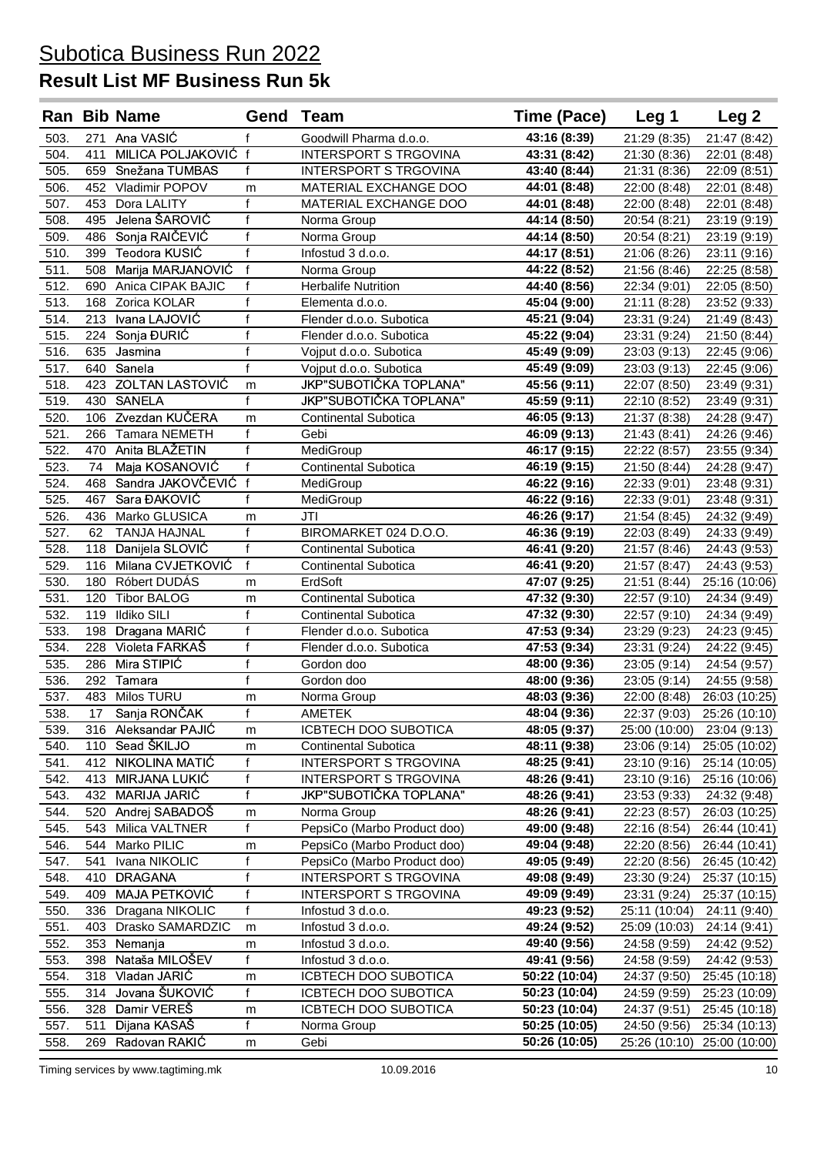|              |            | <b>Ran Bib Name</b>             | <b>Gend Team</b>        |                                                | <b>Time (Pace)</b>           | Leg 1                        | Leg 2                          |
|--------------|------------|---------------------------------|-------------------------|------------------------------------------------|------------------------------|------------------------------|--------------------------------|
| 503.         |            | 271 Ana VASIĆ                   | f                       | Goodwill Pharma d.o.o.                         | 43:16 (8:39)                 | 21:29 (8:35)                 | 21:47 (8:42)                   |
| 504.         | 411        | MILICA POLJAKOVIĆ f             |                         | <b>INTERSPORT S TRGOVINA</b>                   | 43:31 (8:42)                 | 21:30 (8:36)                 | 22:01 (8:48)                   |
| 505.         |            | 659 Snežana TUMBAS              | $\mathsf{f}$            | <b>INTERSPORT S TRGOVINA</b>                   | 43:40 (8:44)                 | 21:31 (8:36)                 | 22:09 (8:51)                   |
| 506          |            | 452 Vladimir POPOV              | m                       | MATERIAL EXCHANGE DOO                          | 44:01 (8:48)                 | 22:00 (8:48)                 | 22:01 (8:48)                   |
| 507.         | 453        | Dora LALITY                     | $\mathsf{f}$            | <b>MATERIAL EXCHANGE DOO</b>                   | 44:01 (8:48)                 | 22:00 (8:48)                 | 22:01 (8:48)                   |
| 508.         | 495        | Jelena ŠAROVIĆ                  | $\overline{f}$          | Norma Group                                    | 44:14 (8:50)                 | 20:54 (8:21)                 | 23:19 (9:19)                   |
| 509.         |            | 486 Sonja RAIČEVIĆ              | $\mathsf{f}$            | Norma Group                                    | 44:14 (8:50)                 | 20:54 (8:21)                 | 23:19 (9:19)                   |
| 510.         |            | 399 Teodora KUSIĆ               | $\overline{\mathsf{f}}$ | Infostud 3 d.o.o.                              | 44:17 (8:51)                 | 21:06 (8:26)                 | 23:11 (9:16)                   |
| 511.         |            | 508 Marija MARJANOVIĆ           | $\mathsf{f}$            | Norma Group                                    | 44:22 (8:52)                 | 21:56 (8:46)                 | 22:25 (8:58)                   |
| 512.         |            | 690 Anica CIPAK BAJIC           | f                       | <b>Herbalife Nutrition</b>                     | 44:40 (8:56)                 | 22:34 (9:01)                 | 22:05 (8:50)                   |
| 513.         |            | 168 Zorica KOLAR                | $\mathsf{f}$            | Elementa d.o.o.                                | 45:04 (9:00)                 | 21:11 (8:28)                 | 23:52 (9:33)                   |
| 514.         |            | 213 Ivana LAJOVIĆ               | $\mathsf{f}$            | Flender d.o.o. Subotica                        | 45:21 (9:04)                 | 23:31 (9:24)                 | 21:49 (8:43)                   |
| 515.         |            | 224 Sonja ĐURIĆ                 | f                       | Flender d.o.o. Subotica                        | 45:22 (9:04)                 | 23:31 (9:24)                 | 21:50 (8:44)                   |
| 516.         |            | 635 Jasmina                     | f                       | Vojput d.o.o. Subotica                         | 45:49 (9:09)                 | 23:03 (9:13)                 | 22:45 (9:06)                   |
| 517.         |            | 640 Sanela                      | $\mathsf{f}$            | Vojput d.o.o. Subotica                         | 45:49 (9:09)                 | 23:03 (9:13)                 | 22:45 (9:06)                   |
| 518.         |            | 423 ZOLTAN LASTOVIĆ             | m                       | JKP"SUBOTIČKA TOPLANA"                         | 45:56 (9:11)                 | 22:07 (8:50)                 | 23:49 (9:31)                   |
| 519.         |            | 430 SANELA                      | $\mathsf{f}$            | JKP"SUBOTIČKA TOPLANA"                         | 45:59 (9:11)                 | 22:10 (8:52)                 | 23:49 (9:31)                   |
| 520.         |            | 106 Zvezdan KUČERA              | m                       | Continental Subotica                           | 46:05 (9:13)                 | 21:37 (8:38)                 | 24:28 (9:47)                   |
| 521.         |            | 266 Tamara NEMETH               | $\mathsf{f}$            | Gebi                                           | 46:09 (9:13)                 | 21:43 (8:41)                 | 24:26 (9:46)                   |
| 522.         | 470        | Anita BLAŽETIN                  | $\mathsf{f}$            | MediGroup                                      | 46:17 (9:15)                 | 22:22 (8:57)                 | 23:55 (9:34)                   |
| 523.         | 74         | Maja KOSANOVIĆ                  | $\mathbf{f}$            | Continental Subotica                           | 46:19 (9:15)                 | 21:50 (8:44)                 | 24:28 (9:47)                   |
| 524.         |            | 468 Sandra JAKOVČEVIĆ           | $\mathbf{f}$            | MediGroup                                      | 46:22 (9:16)                 | 22:33 (9:01)                 | 23:48 (9:31)                   |
| 525.         | 467        | Sara ĐAKOVIĆ                    | f                       | MediGroup                                      | 46:22 (9:16)                 | 22:33 (9:01)                 | 23:48 (9:31)                   |
| 526.         |            | 436 Marko GLUSICA               | m                       | JTI                                            | 46:26 (9:17)                 | 21:54 (8:45)                 | 24:32 (9:49)                   |
| 527.         | 62         | <b>TANJA HAJNAL</b>             | $\mathsf{f}$            | BIROMARKET 024 D.O.O.                          | 46:36 (9:19)                 | 22:03 (8:49)                 | 24:33 (9:49)                   |
| 528.         | 118        | Danijela SLOVIĆ                 | f                       | <b>Continental Subotica</b>                    | 46:41 (9:20)                 | 21:57 (8:46)                 | 24:43 (9:53)                   |
| 529.         |            | 116 Milana CVJETKOVIĆ           | $\mathsf{f}$            | Continental Subotica                           | 46:41 (9:20)                 | 21:57 (8:47)                 | 24:43 (9:53)                   |
| 530.         |            | 180 Róbert DUDÁS                | m                       | ErdSoft                                        | 47:07 (9:25)                 | 21:51 (8:44)                 | 25:16 (10:06)                  |
| 531.         | 120        | <b>Tibor BALOG</b>              | m                       | <b>Continental Subotica</b>                    | 47:32 (9:30)                 | 22:57 (9:10)                 | 24:34 (9:49)                   |
| 532.         | 119        | <b>Ildiko SILI</b>              | $\mathsf{f}$            | <b>Continental Subotica</b>                    | 47:32 (9:30)                 | 22:57 (9:10)                 | 24:34 (9:49)                   |
| 533.         | 198        | Dragana MARIĆ                   | f                       | Flender d.o.o. Subotica                        | 47:53 (9:34)                 | 23:29 (9:23)                 | 24:23 (9:45)                   |
| 534.         | 228        | Violeta FARKAŠ                  | $\mathsf{f}$            | Flender d.o.o. Subotica                        | 47:53 (9:34)                 | 23:31 (9:24)                 | 24:22 (9:45)                   |
| 535.         | 286        | Mira STIPIĆ                     | f                       | Gordon doo                                     | 48:00 (9:36)                 | 23:05 (9:14)                 | 24:54 (9:57)                   |
| 536.         | 292        | Tamara                          | f                       | Gordon doo                                     | 48:00 (9:36)                 | 23:05 (9:14)                 | 24:55 (9:58)                   |
| 537.         | 483        | Milos TURU                      | m                       | Norma Group                                    | 48:03 (9:36)                 | 22:00 (8:48)                 | 26:03 (10:25)                  |
| 538.         | 17         | Sanja RONČAK                    | f                       | AMETEK                                         | 48:04 (9:36)                 | 22:37 (9:03)                 | 25:26 (10:10)                  |
| 539.         |            | 316 Aleksandar PAJIC            | m                       | <b>ICBTECH DOO SUBOTICA</b>                    | 48:05 (9:37)                 | 25:00 (10:00)                | 23:04 (9:13)                   |
| 540.         | 110        | Sead ŠKILJO                     | m                       | Continental Subotica                           | 48:11 (9:38)                 | 23:06 (9:14)                 | 25:05 (10:02)                  |
| 541.         | 412        | NIKOLINA MATIĆ                  | f                       | <b>INTERSPORT S TRGOVINA</b>                   | 48:25 (9:41)                 | 23:10 (9:16)                 | 25:14 (10:05)                  |
| 542.         | 413        | MIRJANA LUKIĆ                   | f                       | <b>INTERSPORT S TRGOVINA</b>                   | 48:26 (9:41)                 | 23:10 (9:16)                 | 25:16 (10:06)                  |
| 543.         | 432        | MARIJA JARIĆ                    | f                       | JKP"SUBOTIČKA TOPLANA"                         | 48:26 (9:41)                 | 23:53 (9:33)                 | 24:32 (9:48)                   |
| 544.         | 520        | Andrej SABADOŠ                  | m                       | Norma Group                                    | 48:26 (9:41)                 | 22:23 (8:57)                 | 26:03 (10:25)                  |
| 545.         | 543        | Milica VALTNER                  | f                       | PepsiCo (Marbo Product doo)                    | 49:00 (9:48)                 | 22:16 (8:54)                 | 26:44 (10:41)                  |
| 546.         | 544        | Marko PILIC                     | m<br>f                  | PepsiCo (Marbo Product doo)                    | 49:04 (9:48)                 | 22:20 (8:56)                 | 26:44 (10:41)                  |
| 547.         | 541        | Ivana NIKOLIC                   | f                       | PepsiCo (Marbo Product doo)                    | 49:05 (9:49)                 | 22:20 (8:56)                 | 26:45 (10:42)                  |
| 548.<br>549. | 410<br>409 | <b>DRAGANA</b><br>MAJA PETKOVIĆ | f                       | INTERSPORT S TRGOVINA<br>INTERSPORT S TRGOVINA | 49:08 (9:49)<br>49:09 (9:49) | 23:30 (9:24)<br>23:31 (9:24) | 25:37 (10:15)<br>25:37 (10:15) |
| 550.         | 336        | Dragana NIKOLIC                 | $\mathsf{f}$            | Infostud 3 d.o.o.                              | 49:23 (9:52)                 | 25:11 (10:04)                | 24:11 (9:40)                   |
| 551.         | 403        | Drasko SAMARDZIC                | m                       | Infostud 3 d.o.o.                              | 49:24 (9:52)                 | 25:09 (10:03)                | 24:14 (9:41)                   |
| 552.         | 353        | Nemanja                         | m                       | Infostud 3 d.o.o.                              | 49:40 (9:56)                 | 24:58 (9:59)                 | 24:42 (9:52)                   |
| 553.         | 398        | Nataša MILOŠEV                  | f                       | Infostud 3 d.o.o.                              | 49:41 (9:56)                 | 24:58 (9:59)                 | 24:42 (9:53)                   |
| 554.         | 318        | Vladan JARIĆ                    | m                       | ICBTECH DOO SUBOTICA                           | 50:22 (10:04)                | 24:37 (9:50)                 | 25:45 (10:18)                  |
| 555.         | 314        | Jovana ŠUKOVIĆ                  | f                       | ICBTECH DOO SUBOTICA                           | 50:23 (10:04)                | 24:59 (9:59)                 | 25:23 (10:09)                  |
| 556.         | 328        | Damir VEREŠ                     | m                       | ICBTECH DOO SUBOTICA                           | 50:23 (10:04)                | 24:37 (9:51)                 | 25:45 (10:18)                  |
| 557.         | 511        | Dijana KASAŠ                    | f                       | Norma Group                                    | 50:25 (10:05)                | 24:50 (9:56)                 | 25:34 (10:13)                  |
| 558.         | 269        | Radovan RAKIĆ                   | m                       | Gebi                                           | 50:26 (10:05)                | 25:26 (10:10)                | 25:00 (10:00)                  |
|              |            |                                 |                         |                                                |                              |                              |                                |